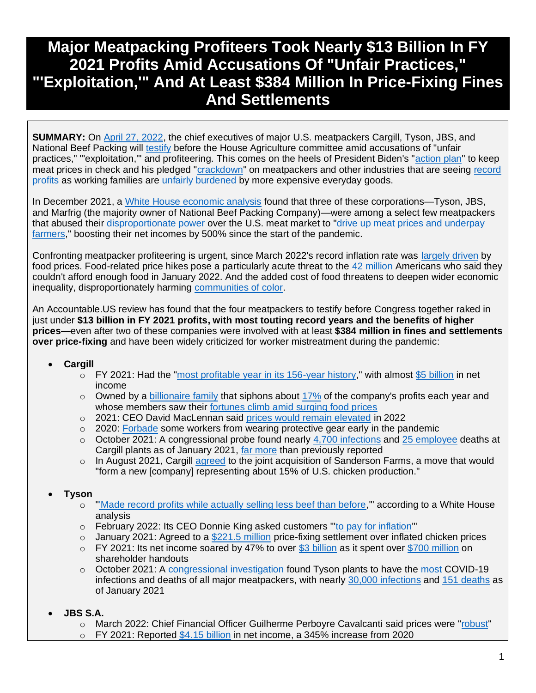# **Major Meatpacking Profiteers Took Nearly \$13 Billion In FY 2021 Profits Amid Accusations Of "Unfair Practices," "'Exploitation,'" And At Least \$384 Million In Price-Fixing Fines And Settlements**

**SUMMARY:** On [April 27, 2022,](https://agriculture.house.gov/calendar/eventsingle.aspx?EventID=2481) the chief executives of major U.S. meatpackers Cargill, Tyson, JBS, and National Beef Packing will [testify](https://www.reuters.com/world/us/ceos-four-large-us-meatpackers-testify-congressional-hearing-2022-04-13/) before the House Agriculture committee amid accusations of "unfair practices," "'exploitation," and profiteering. This comes on the heels of President Biden's ["action plan"](https://www.whitehouse.gov/briefing-room/statements-releases/2022/01/03/fact-sheet-the-biden-harris-action-plan-for-a-fairer-more-competitive-and-more-resilient-meat-and-poultry-supply-chain/) to keep meat prices in check and his pledged ["crackdown"](https://www.nytimes.com/2022/03/01/us/politics/biden-sotu-transcript.html) on meatpackers and other industries that are seeing [record](https://fortune.com/2022/03/31/us-companies-record-profits-2021-price-hikes-inflation/)  [profits](https://fortune.com/2022/03/31/us-companies-record-profits-2021-price-hikes-inflation/) as working families are [unfairly burdened](https://www.washingtonpost.com/business/2022/02/13/low-income-high-inflation-inequality/) by more expensive everyday goods.

In December 2021, a [White House economic analysis](https://www.reuters.com/business/meat-packers-profit-margins-jumped-300-during-pandemic-white-house-economics-2021-12-10/) found that three of these corporations—Tyson, JBS, and Marfrig (the majority owner of National Beef Packing Company)—were among a select few meatpackers that abused their [disproportionate power](https://www.whitehouse.gov/briefing-room/blog/2021/12/10/recent-data-show-dominant-meat-processing-companies-are-taking-advantage-of-market-power-to-raise-prices-and-grow-profit-margins/) over the U.S. meat market to ["drive up meat prices and underpay](https://www.reuters.com/business/meat-packers-profit-margins-jumped-300-during-pandemic-white-house-economics-2021-12-10/)  [farmers,](https://www.reuters.com/business/meat-packers-profit-margins-jumped-300-during-pandemic-white-house-economics-2021-12-10/)" boosting their net incomes by 500% since the start of the pandemic.

Confronting meatpacker profiteering is urgent, since March 2022's record inflation rate was [largely driven](https://www.cnn.com/2022/04/12/economy/consumer-price-inflation-march/index.html) by food prices. Food-related price hikes pose a particularly acute threat to the [42 million](https://www.cnn.com/2022/01/26/perspectives/inflation-food-prices-fed-interest-rates/index.html) Americans who said they couldn't afford enough food in January 2022. And the added cost of food threatens to deepen wider economic inequality, disproportionately harming [communities of color.](https://www.cnn.com/2022/01/26/perspectives/inflation-food-prices-fed-interest-rates/index.html)

An Accountable.US review has found that the four meatpackers to testify before Congress together raked in just under **\$13 billion in FY 2021 profits, with most touting record years and the benefits of higher prices**—even after two of these companies were involved with at least **\$384 million in fines and settlements over price-fixing** and have been widely criticized for worker mistreatment during the pandemic:

#### • **Cargill**

- $\circ$  FY 2021: Had the ["most profitable year in its 156-year history,](https://www.bloomberg.com/news/articles/2021-08-06/crop-giant-cargill-reports-biggest-profit-in-156-year-history?sref=F7j0rXiB)" with almost [\\$5 billion](https://www.bloomberg.com/news/articles/2021-08-06/crop-giant-cargill-reports-biggest-profit-in-156-year-history?sref=F7j0rXiB) in net income
- $\circ$  Owned by a [billionaire family](https://www.bloomberg.com/news/articles/2022-04-08/richest-agriculture-family-s-fortunes-jump-as-food-prices-surge?sref=F7j0rXiB) that siphons about [17%](https://www.bloomberg.com/news/articles/2022-04-08/richest-agriculture-family-s-fortunes-jump-as-food-prices-surge?sref=F7j0rXiB) of the company's profits each year and whose members saw their [fortunes climb amid surging food prices](https://www.bloomberg.com/news/articles/2022-04-08/richest-agriculture-family-s-fortunes-jump-as-food-prices-surge?sref=F7j0rXiB)
- o 2021: CEO David MacLennan said [prices would remain elevated](https://www.bloomberg.com/news/articles/2021-11-17/cargill-ceo-says-global-food-prices-to-stay-high-on-labor-crunch?sref=F7j0rXiB) in 2022
- $\circ$  2020: [Forbade](https://www.bloomberg.com/news/features/2020-05-07/coronavirus-closes-meat-plants-threatens-food-supply) some workers from wearing protective gear early in the pandemic
- $\circ$  October 2021: A congressional probe found nearly [4,700 infections](https://coronavirus.house.gov/sites/democrats.coronavirus.house.gov/files/2021.10.27%20Meatpacking%20Report.Final_.pdf) and [25 employee](https://coronavirus.house.gov/sites/democrats.coronavirus.house.gov/files/2021.10.27%20Meatpacking%20Report.Final_.pdf) deaths at Cargill plants as of January 2021, [far more](https://www.reuters.com/world/us/coronavirus-infections-us-meat-plants-far-higher-than-previous-estimates-house-2021-10-27/) than previously reported
- $\circ$  In August 2021, Cargill [agreed](https://www.wsj.com/articles/chicken-producer-sanderson-farms-nears-sale-to-continental-grain-cargill-11628461800?mod=article_inline) to the joint acquisition of Sanderson Farms, a move that would "form a new [company] representing about 15% of U.S. chicken production."

#### • **Tyson**

- o ["'Made record profits while actually selling less beef than before,](https://www.reuters.com/business/meat-packers-profit-margins-jumped-300-during-pandemic-white-house-economics-2021-12-10/)'" according to a White House analysis
- o February 2022: Its CEO Donnie King asked customers ["'to pay for inflation'](https://www.wsj.com/articles/tyson-posts-higher-quarterly-profit-on-price-increases-strong-demand-11644241426#:~:text=1%2C%20Tyson%20said%20its%20average,on%20a%20call%20with%20reporters.)"
- $\circ$  January 2021: Agreed to a [\\$221.5 million](https://www.reuters.com/article/us-tyson-foods-chicken-settlement/tyson-foods-to-pay-221-5-million-to-settle-some-chicken-price-fixing-claims-idUSKBN29O2IK) price-fixing settlement over inflated chicken prices
- $\circ$  FY 2021: Its net income soared by 47% to over [\\$3 billion](https://ir.tyson.com/news/news-details/2021/Tyson-Foods-Reports-Strong-Fourth-Quarter-and-Fiscal-2021-Results/default.aspx) as it spent over [\\$700 million](https://ir.tyson.com/news/news-details/2021/Tyson-Foods-Reports-Strong-Fourth-Quarter-and-Fiscal-2021-Results/default.aspx) on shareholder handouts
- $\circ$  October 2021: A [congressional investigation](https://www.insurancejournal.com/news/national/2021/10/28/639419.htm) found Tyson plants to have the [most](https://coronavirus.house.gov/sites/democrats.coronavirus.house.gov/files/2021.10.27%20Meatpacking%20Report.Final_.pdf) COVID-19 infections and deaths of all major meatpackers, with nearly [30,000 infections](https://coronavirus.house.gov/sites/democrats.coronavirus.house.gov/files/2021.10.27%20Meatpacking%20Report.Final_.pdf) and [151 deaths](https://coronavirus.house.gov/sites/democrats.coronavirus.house.gov/files/2021.10.27%20Meatpacking%20Report.Final_.pdf) as of January 2021
- **JBS S.A.**
	- o March 2022: Chief Financial Officer Guilherme Perboyre Cavalcanti said prices were ["robust"](https://seekingalpha.com/article/4497147-jbs-s-jbsay-ceo-gilberto-tomazoni-on-q4-2021-results-earnings-call-transcript)
	- FY 2021: Reported [\\$4.15 billion](https://www.meatpoultry.com/articles/26368-jbs-shows-profits-during-2021-q4) in net income, a 345% increase from 2020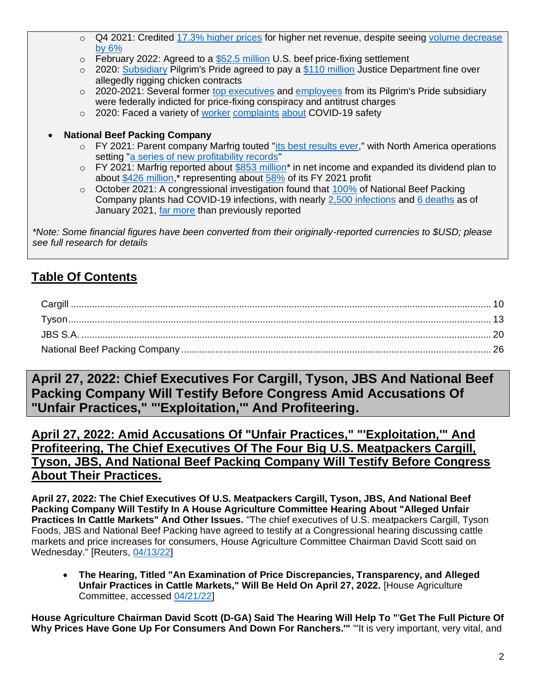- o Q4 2021: Credited [17.3% higher prices](https://api.mziq.com/mzfilemanager/v2/d/043a77e1-0127-4502-bc5b-21427b991b22/4f1cea70-d5e9-eca1-679b-37825880fb73?origin=1) for higher net revenue, despite seeing [volume decrease](https://api.mziq.com/mzfilemanager/v2/d/043a77e1-0127-4502-bc5b-21427b991b22/4f1cea70-d5e9-eca1-679b-37825880fb73?origin=1)  [by 6%](https://api.mziq.com/mzfilemanager/v2/d/043a77e1-0127-4502-bc5b-21427b991b22/4f1cea70-d5e9-eca1-679b-37825880fb73?origin=1)
- $\circ$  February 2022: Agreed to a [\\$52.5 million](https://www.reuters.com/legal/litigation/jbs-reaches-icebreaker-settlement-beef-price-fixing-claims-2022-02-02/) U.S. beef price-fixing settlement
- $\circ$  2020: [Subsidiary](https://jbsfoodsgroup.com/businesses/pilgrims) Pilgrim's Pride agreed to pay a [\\$110 million](https://ir.pilgrims.com/news-releases/news-release-details/pilgrims-announces-agreement-doj-antitrust-division) Justice Department fine over allegedly rigging chicken contracts
- o 2020-2021: Several former [top executives](https://www.justice.gov/opa/pr/senior-executives-major-chicken-producers-indicted-antitrust-charges) and [employees](https://www.justice.gov/opa/pr/four-executives-and-company-charged-price-fixing-ongoing-investigation-broiler-chicken) from its Pilgrim's Pride subsidiary were federally indicted for price-fixing conspiracy and antitrust charges
- o 2020: Faced a variety of [worker](https://apnews.com/article/south-dakota-donald-trump-us-news-ap-top-news-virus-outbreak-67cb4bad7ffe500beabdf8e7e7efea5d) [complaints](https://www.greeleytribune.com/news/local/jbs-employees-families-allege-lax-reaction-to-covid-19-at-greeley-plant-company-disputes-claims/) [about](https://www.whsv.com/content/news/Pilgrims-workers-protest-outside-facility-for-health-and-safety-569351581.html) COVID-19 safety
- **National Beef Packing Company**
	- o FY 2021: Parent company Marfrig touted ["its best results ever,](https://api.mziq.com/mzfilemanager/v2/d/b8180300-b881-4e6c-b970-12ad72a86ec8/62b7ca02-b975-d879-97bd-4a51cf345f8e?origin=1)" with North America operations setting ["a series of new profitability records"](https://api.mziq.com/mzfilemanager/v2/d/b8180300-b881-4e6c-b970-12ad72a86ec8/62b7ca02-b975-d879-97bd-4a51cf345f8e?origin=1)
	- $\circ$  FY 2021: Marfrig reported about [\\$853 million\\*](https://api.mziq.com/mzfilemanager/v2/d/b8180300-b881-4e6c-b970-12ad72a86ec8/62b7ca02-b975-d879-97bd-4a51cf345f8e?origin=1) in net income and expanded its dividend plan to about [\\$426 million,](https://api.mziq.com/mzfilemanager/v2/d/b8180300-b881-4e6c-b970-12ad72a86ec8/62b7ca02-b975-d879-97bd-4a51cf345f8e?origin=1)\* representing about [58%](https://api.mziq.com/mzfilemanager/v2/d/b8180300-b881-4e6c-b970-12ad72a86ec8/62b7ca02-b975-d879-97bd-4a51cf345f8e?origin=1) of its FY 2021 profit
	- $\circ$  October 2021: A congressional investigation found that [100%](https://www.reuters.com/business/nearly-90-big-us-meat-plants-had-covid-19-cases-pandemics-first-year-data-2022-01-14/) of National Beef Packing Company plants had COVID-19 infections, with nearly [2,500 infections](https://coronavirus.house.gov/sites/democrats.coronavirus.house.gov/files/2021.10.27%20Meatpacking%20Report.Final_.pdf) and [6 deaths](https://coronavirus.house.gov/sites/democrats.coronavirus.house.gov/files/2021.10.27%20Meatpacking%20Report.Final_.pdf) as of January 2021[, far more](https://www.reuters.com/world/us/coronavirus-infections-us-meat-plants-far-higher-than-previous-estimates-house-2021-10-27/) than previously reported

*\*Note: Some financial figures have been converted from their originally-reported currencies to \$USD; please see full research for details*

# **Table Of Contents**

**April 27, 2022: Chief Executives For Cargill, Tyson, JBS And National Beef Packing Company Will Testify Before Congress Amid Accusations Of "Unfair Practices," "'Exploitation,'" And Profiteering.**

**April 27, 2022: Amid Accusations Of "Unfair Practices," "'Exploitation,'" And Profiteering, The Chief Executives Of The Four Big U.S. Meatpackers Cargill, Tyson, JBS, And National Beef Packing Company Will Testify Before Congress About Their Practices.**

**April 27, 2022: The Chief Executives Of U.S. Meatpackers Cargill, Tyson, JBS, And National Beef Packing Company Will Testify In A House Agriculture Committee Hearing About "Alleged Unfair Practices In Cattle Markets" And Other Issues.** "The chief executives of U.S. meatpackers Cargill, Tyson Foods, JBS and National Beef Packing have agreed to testify at a Congressional hearing discussing cattle markets and price increases for consumers, House Agriculture Committee Chairman David Scott said on Wednesday." [Reuters, [04/13/22\]](https://www.reuters.com/world/us/ceos-four-large-us-meatpackers-testify-congressional-hearing-2022-04-13/)

• **The Hearing, Titled "An Examination of Price Discrepancies, Transparency, and Alleged Unfair Practices in Cattle Markets," Will Be Held On April 27, 2022.** [House Agriculture Committee, accessed [04/21/22\]](https://agriculture.house.gov/calendar/eventsingle.aspx?EventID=2481)

**House Agriculture Chairman David Scott (D-GA) Said The Hearing Will Help To "**'**Get The Full Picture Of Why Prices Have Gone Up For Consumers And Down For Ranchers.'"** "'It is very important, very vital, and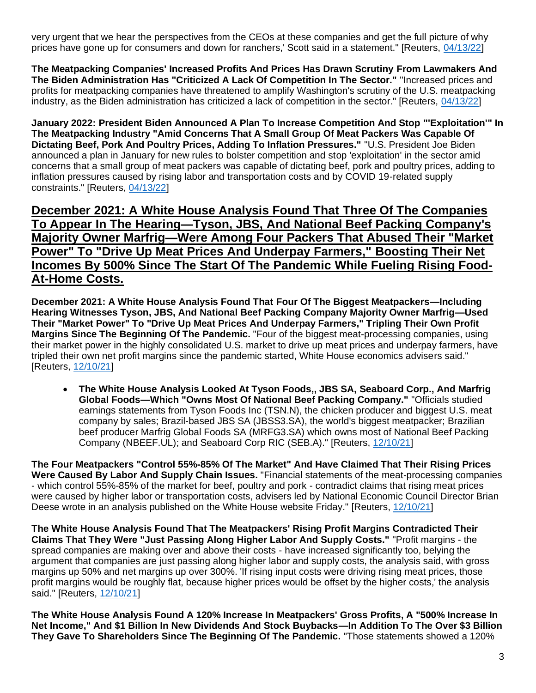very urgent that we hear the perspectives from the CEOs at these companies and get the full picture of why prices have gone up for consumers and down for ranchers,' Scott said in a statement." [Reuters, [04/13/22\]](https://www.reuters.com/world/us/ceos-four-large-us-meatpackers-testify-congressional-hearing-2022-04-13/)

**The Meatpacking Companies' Increased Profits And Prices Has Drawn Scrutiny From Lawmakers And The Biden Administration Has "Criticized A Lack Of Competition In The Sector."** "Increased prices and profits for meatpacking companies have threatened to amplify Washington's scrutiny of the U.S. meatpacking industry, as the Biden administration has criticized a lack of competition in the sector." [Reuters, [04/13/22\]](https://www.reuters.com/world/us/ceos-four-large-us-meatpackers-testify-congressional-hearing-2022-04-13/)

**January 2022: President Biden Announced A Plan To Increase Competition And Stop "'Exploitation'" In The Meatpacking Industry "Amid Concerns That A Small Group Of Meat Packers Was Capable Of Dictating Beef, Pork And Poultry Prices, Adding To Inflation Pressures."** "U.S. President Joe Biden announced a plan in January for new rules to bolster competition and stop 'exploitation' in the sector amid concerns that a small group of meat packers was capable of dictating beef, pork and poultry prices, adding to inflation pressures caused by rising labor and transportation costs and by COVID 19-related supply constraints." [Reuters, [04/13/22\]](https://www.reuters.com/world/us/ceos-four-large-us-meatpackers-testify-congressional-hearing-2022-04-13/)

**December 2021: A White House Analysis Found That Three Of The Companies To Appear In The Hearing—Tyson, JBS, And National Beef Packing Company's Majority Owner Marfrig—Were Among Four Packers That Abused Their "Market Power" To "Drive Up Meat Prices And Underpay Farmers," Boosting Their Net Incomes By 500% Since The Start Of The Pandemic While Fueling Rising Food-At-Home Costs.**

**December 2021: A White House Analysis Found That Four Of The Biggest Meatpackers—Including Hearing Witnesses Tyson, JBS, And National Beef Packing Company Majority Owner Marfrig—Used Their "Market Power" To "Drive Up Meat Prices And Underpay Farmers," Tripling Their Own Profit Margins Since The Beginning Of The Pandemic.** "Four of the biggest meat-processing companies, using their market power in the highly consolidated U.S. market to drive up meat prices and underpay farmers, have tripled their own net profit margins since the pandemic started, White House economics advisers said." [Reuters, [12/10/21\]](https://www.reuters.com/business/meat-packers-profit-margins-jumped-300-during-pandemic-white-house-economics-2021-12-10/)

• **The White House Analysis Looked At Tyson Foods,, JBS SA, Seaboard Corp., And Marfrig Global Foods—Which "Owns Most Of National Beef Packing Company."** "Officials studied earnings statements from Tyson Foods Inc (TSN.N), the chicken producer and biggest U.S. meat company by sales; Brazil-based JBS SA (JBSS3.SA), the world's biggest meatpacker; Brazilian beef producer Marfrig Global Foods SA (MRFG3.SA) which owns most of National Beef Packing Company (NBEEF.UL); and Seaboard Corp RIC (SEB.A)." [Reuters, [12/10/21\]](https://www.reuters.com/business/meat-packers-profit-margins-jumped-300-during-pandemic-white-house-economics-2021-12-10/)

**The Four Meatpackers "Control 55%-85% Of The Market" And Have Claimed That Their Rising Prices Were Caused By Labor And Supply Chain Issues.** "Financial statements of the meat-processing companies - which control 55%-85% of the market for beef, poultry and pork - contradict claims that rising meat prices were caused by higher labor or transportation costs, advisers led by National Economic Council Director Brian Deese wrote in an analysis published on the White House website Friday." [Reuters, [12/10/21\]](https://www.reuters.com/business/meat-packers-profit-margins-jumped-300-during-pandemic-white-house-economics-2021-12-10/)

**The White House Analysis Found That The Meatpackers' Rising Profit Margins Contradicted Their Claims That They Were "Just Passing Along Higher Labor And Supply Costs."** "Profit margins - the spread companies are making over and above their costs - have increased significantly too, belying the argument that companies are just passing along higher labor and supply costs, the analysis said, with gross margins up 50% and net margins up over 300%. 'If rising input costs were driving rising meat prices, those profit margins would be roughly flat, because higher prices would be offset by the higher costs,' the analysis said." [Reuters, [12/10/21\]](https://www.reuters.com/business/meat-packers-profit-margins-jumped-300-during-pandemic-white-house-economics-2021-12-10/)

**The White House Analysis Found A 120% Increase In Meatpackers' Gross Profits, A "500% Increase In Net Income," And \$1 Billion In New Dividends And Stock Buybacks—In Addition To The Over \$3 Billion They Gave To Shareholders Since The Beginning Of The Pandemic.** "Those statements showed a 120%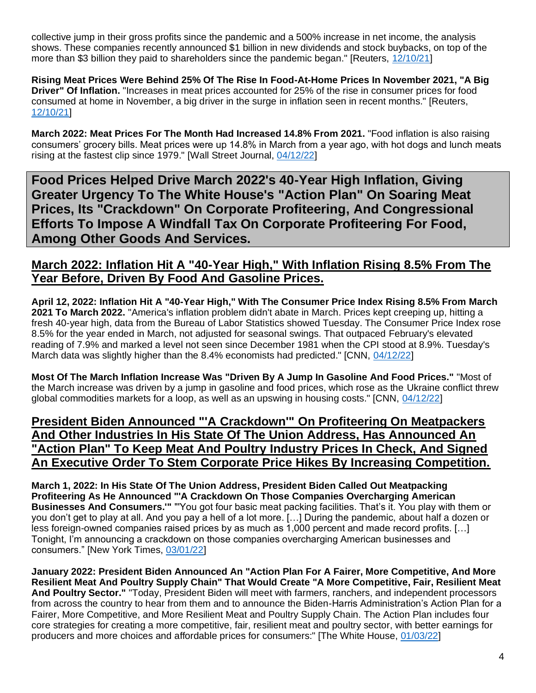collective jump in their gross profits since the pandemic and a 500% increase in net income, the analysis shows. These companies recently announced \$1 billion in new dividends and stock buybacks, on top of the more than \$3 billion they paid to shareholders since the pandemic began." [Reuters, [12/10/21\]](https://www.reuters.com/business/meat-packers-profit-margins-jumped-300-during-pandemic-white-house-economics-2021-12-10/)

**Rising Meat Prices Were Behind 25% Of The Rise In Food-At-Home Prices In November 2021, "A Big Driver" Of Inflation.** "Increases in meat prices accounted for 25% of the rise in consumer prices for food consumed at home in November, a big driver in the surge in inflation seen in recent months." [Reuters, [12/10/21\]](https://www.reuters.com/business/meat-packers-profit-margins-jumped-300-during-pandemic-white-house-economics-2021-12-10/)

**March 2022: Meat Prices For The Month Had Increased 14.8% From 2021.** "Food inflation is also raising consumers' grocery bills. Meat prices were up 14.8% in March from a year ago, with hot dogs and lunch meats rising at the fastest clip since 1979." [Wall Street Journal, [04/12/22\]](https://www.wsj.com/articles/us-inflation-consumer-price-index-march-2022-11649725215?mod=djem10point)

**Food Prices Helped Drive March 2022's 40-Year High Inflation, Giving Greater Urgency To The White House's "Action Plan" On Soaring Meat Prices, Its "Crackdown" On Corporate Profiteering, And Congressional Efforts To Impose A Windfall Tax On Corporate Profiteering For Food, Among Other Goods And Services.**

#### **March 2022: Inflation Hit A "40-Year High," With Inflation Rising 8.5% From The Year Before, Driven By Food And Gasoline Prices.**

**April 12, 2022: Inflation Hit A "40-Year High," With The Consumer Price Index Rising 8.5% From March 2021 To March 2022.** "America's inflation problem didn't abate in March. Prices kept creeping up, hitting a fresh 40-year high, data from the Bureau of Labor Statistics showed Tuesday. The Consumer Price Index rose 8.5% for the year ended in March, not adjusted for seasonal swings. That outpaced February's elevated reading of 7.9% and marked a level not seen since December 1981 when the CPI stood at 8.9%. Tuesday's March data was slightly higher than the 8.4% economists had predicted." [CNN, [04/12/22\]](https://www.cnn.com/2022/04/12/economy/consumer-price-inflation-march/index.html)

**Most Of The March Inflation Increase Was "Driven By A Jump In Gasoline And Food Prices."** "Most of the March increase was driven by a jump in gasoline and food prices, which rose as the Ukraine conflict threw global commodities markets for a loop, as well as an upswing in housing costs." [CNN, [04/12/22\]](https://www.cnn.com/2022/04/12/economy/consumer-price-inflation-march/index.html)

#### **President Biden Announced "'A Crackdown'" On Profiteering On Meatpackers And Other Industries In His State Of The Union Address, Has Announced An "Action Plan" To Keep Meat And Poultry Industry Prices In Check, And Signed An Executive Order To Stem Corporate Price Hikes By Increasing Competition.**

**March 1, 2022: In His State Of The Union Address, President Biden Called Out Meatpacking Profiteering As He Announced "'A Crackdown On Those Companies Overcharging American Businesses And Consumers.'"** "'You got four basic meat packing facilities. That's it. You play with them or you don't get to play at all. And you pay a hell of a lot more. […] During the pandemic, about half a dozen or less foreign-owned companies raised prices by as much as 1,000 percent and made record profits. […] Tonight, I'm announcing a crackdown on those companies overcharging American businesses and consumers." [New York Times, [03/01/22\]](https://www.nytimes.com/2022/03/01/us/politics/biden-sotu-transcript.html)

**January 2022: President Biden Announced An "Action Plan For A Fairer, More Competitive, And More Resilient Meat And Poultry Supply Chain" That Would Create "A More Competitive, Fair, Resilient Meat And Poultry Sector."** "Today, President Biden will meet with farmers, ranchers, and independent processors from across the country to hear from them and to announce the Biden-Harris Administration's Action Plan for a Fairer, More Competitive, and More Resilient Meat and Poultry Supply Chain. The Action Plan includes four core strategies for creating a more competitive, fair, resilient meat and poultry sector, with better earnings for producers and more choices and affordable prices for consumers:" [The White House, [01/03/22\]](https://www.whitehouse.gov/briefing-room/statements-releases/2022/01/03/fact-sheet-the-biden-harris-action-plan-for-a-fairer-more-competitive-and-more-resilient-meat-and-poultry-supply-chain/)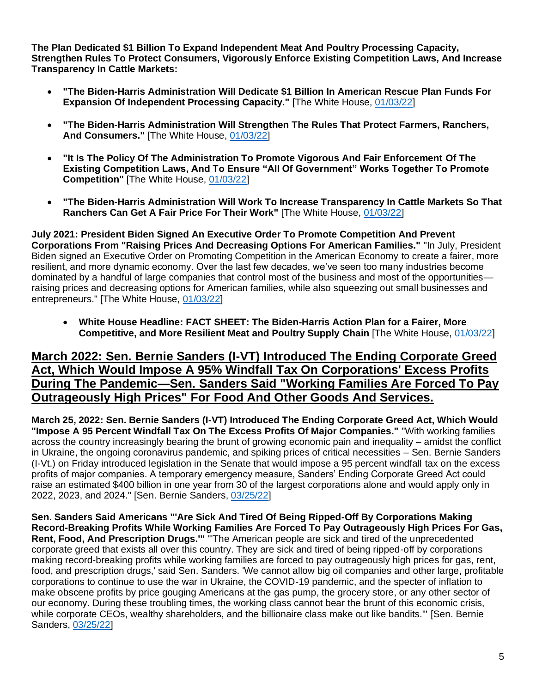**The Plan Dedicated \$1 Billion To Expand Independent Meat And Poultry Processing Capacity, Strengthen Rules To Protect Consumers, Vigorously Enforce Existing Competition Laws, And Increase Transparency In Cattle Markets:**

- **"The Biden-Harris Administration Will Dedicate \$1 Billion In American Rescue Plan Funds For Expansion Of Independent Processing Capacity."** [The White House, [01/03/22\]](https://www.whitehouse.gov/briefing-room/statements-releases/2022/01/03/fact-sheet-the-biden-harris-action-plan-for-a-fairer-more-competitive-and-more-resilient-meat-and-poultry-supply-chain/)
- **"The Biden-Harris Administration Will Strengthen The Rules That Protect Farmers, Ranchers, And Consumers."** [The White House, [01/03/22\]](https://www.whitehouse.gov/briefing-room/statements-releases/2022/01/03/fact-sheet-the-biden-harris-action-plan-for-a-fairer-more-competitive-and-more-resilient-meat-and-poultry-supply-chain/)
- **"It Is The Policy Of The Administration To Promote Vigorous And Fair Enforcement Of The Existing Competition Laws, And To Ensure "All Of Government" Works Together To Promote Competition"** [The White House, [01/03/22\]](https://www.whitehouse.gov/briefing-room/statements-releases/2022/01/03/fact-sheet-the-biden-harris-action-plan-for-a-fairer-more-competitive-and-more-resilient-meat-and-poultry-supply-chain/)
- **"The Biden-Harris Administration Will Work To Increase Transparency In Cattle Markets So That Ranchers Can Get A Fair Price For Their Work"** [The White House, [01/03/22\]](https://www.whitehouse.gov/briefing-room/statements-releases/2022/01/03/fact-sheet-the-biden-harris-action-plan-for-a-fairer-more-competitive-and-more-resilient-meat-and-poultry-supply-chain/)

**July 2021: President Biden Signed An Executive Order To Promote Competition And Prevent Corporations From "Raising Prices And Decreasing Options For American Families."** "In July, President Biden signed an Executive Order on Promoting Competition in the American Economy to create a fairer, more resilient, and more dynamic economy. Over the last few decades, we've seen too many industries become dominated by a handful of large companies that control most of the business and most of the opportunities raising prices and decreasing options for American families, while also squeezing out small businesses and entrepreneurs." [The White House, [01/03/22\]](https://www.whitehouse.gov/briefing-room/statements-releases/2022/01/03/fact-sheet-the-biden-harris-action-plan-for-a-fairer-more-competitive-and-more-resilient-meat-and-poultry-supply-chain/)

• **White House Headline: FACT SHEET: The Biden-Harris Action Plan for a Fairer, More Competitive, and More Resilient Meat and Poultry Supply Chain** [The White House, [01/03/22\]](https://www.whitehouse.gov/briefing-room/statements-releases/2022/01/03/fact-sheet-the-biden-harris-action-plan-for-a-fairer-more-competitive-and-more-resilient-meat-and-poultry-supply-chain/)

#### **March 2022: Sen. Bernie Sanders (I-VT) Introduced The Ending Corporate Greed Act, Which Would Impose A 95% Windfall Tax On Corporations' Excess Profits During The Pandemic—Sen. Sanders Said "Working Families Are Forced To Pay Outrageously High Prices" For Food And Other Goods And Services.**

**March 25, 2022: Sen. Bernie Sanders (I-VT) Introduced The Ending Corporate Greed Act, Which Would "Impose A 95 Percent Windfall Tax On The Excess Profits Of Major Companies."** "With working families across the country increasingly bearing the brunt of growing economic pain and inequality – amidst the conflict in Ukraine, the ongoing coronavirus pandemic, and spiking prices of critical necessities – Sen. Bernie Sanders (I-Vt.) on Friday introduced legislation in the Senate that would impose a 95 percent windfall tax on the excess profits of major companies. A temporary emergency measure, Sanders' Ending Corporate Greed Act could raise an estimated \$400 billion in one year from 30 of the largest corporations alone and would apply only in 2022, 2023, and 2024." [Sen. Bernie Sanders[, 03/25/22\]](https://www.sanders.senate.gov/press-releases/news-sanders-introduces-legislation-to-reinstate-the-wwii-windfall-profit-tax-to-combat-rising-inequality-inflation-and-corporate-profiteering/)

**Sen. Sanders Said Americans "'Are Sick And Tired Of Being Ripped-Off By Corporations Making Record-Breaking Profits While Working Families Are Forced To Pay Outrageously High Prices For Gas, Rent, Food, And Prescription Drugs.'"** "'The American people are sick and tired of the unprecedented corporate greed that exists all over this country. They are sick and tired of being ripped-off by corporations making record-breaking profits while working families are forced to pay outrageously high prices for gas, rent, food, and prescription drugs,' said Sen. Sanders. 'We cannot allow big oil companies and other large, profitable corporations to continue to use the war in Ukraine, the COVID-19 pandemic, and the specter of inflation to make obscene profits by price gouging Americans at the gas pump, the grocery store, or any other sector of our economy. During these troubling times, the working class cannot bear the brunt of this economic crisis, while corporate CEOs, wealthy shareholders, and the billionaire class make out like bandits." [Sen. Bernie Sanders, [03/25/22\]](https://www.sanders.senate.gov/press-releases/news-sanders-introduces-legislation-to-reinstate-the-wwii-windfall-profit-tax-to-combat-rising-inequality-inflation-and-corporate-profiteering/)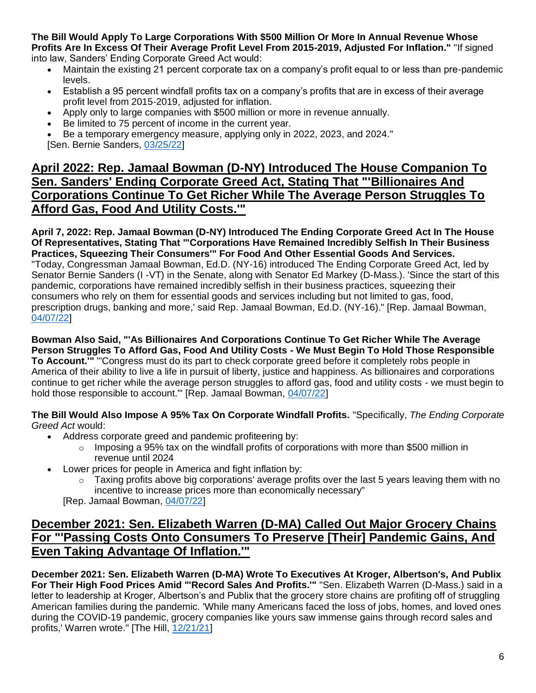**The Bill Would Apply To Large Corporations With \$500 Million Or More In Annual Revenue Whose Profits Are In Excess Of Their Average Profit Level From 2015-2019, Adjusted For Inflation."** "If signed into law, Sanders' Ending Corporate Greed Act would:

- Maintain the existing 21 percent corporate tax on a company's profit equal to or less than pre-pandemic levels.
- Establish a 95 percent windfall profits tax on a company's profits that are in excess of their average profit level from 2015-2019, adjusted for inflation.
- Apply only to large companies with \$500 million or more in revenue annually.
- Be limited to 75 percent of income in the current year.
- Be a temporary emergency measure, applying only in 2022, 2023, and 2024." [Sen. Bernie Sanders, [03/25/22\]](https://www.sanders.senate.gov/press-releases/news-sanders-introduces-legislation-to-reinstate-the-wwii-windfall-profit-tax-to-combat-rising-inequality-inflation-and-corporate-profiteering/)

# **April 2022: Rep. Jamaal Bowman (D-NY) Introduced The House Companion To Sen. Sanders' Ending Corporate Greed Act, Stating That "'Billionaires And Corporations Continue To Get Richer While The Average Person Struggles To Afford Gas, Food And Utility Costs.'"**

**April 7, 2022: Rep. Jamaal Bowman (D-NY) Introduced The Ending Corporate Greed Act In The House Of Representatives, Stating That "'Corporations Have Remained Incredibly Selfish In Their Business Practices, Squeezing Their Consumers'" For Food And Other Essential Goods And Services.**  "Today, Congressman Jamaal Bowman, Ed.D. (NY-16) introduced The Ending Corporate Greed Act, led by Senator Bernie Sanders (I -VT) in the Senate, along with Senator Ed Markey (D-Mass.). 'Since the start of this pandemic, corporations have remained incredibly selfish in their business practices, squeezing their consumers who rely on them for essential goods and services including but not limited to gas, food, prescription drugs, banking and more,' said Rep. Jamaal Bowman, Ed.D. (NY-16)." [Rep. Jamaal Bowman, [04/07/22\]](https://bowman.house.gov/press-releases?ID=F0396A16-82A1-4EBE-86EF-92F0FAAC9112)

**Bowman Also Said, "'As Billionaires And Corporations Continue To Get Richer While The Average Person Struggles To Afford Gas, Food And Utility Costs - We Must Begin To Hold Those Responsible To Account.'"** "'Congress must do its part to check corporate greed before it completely robs people in America of their ability to live a life in pursuit of liberty, justice and happiness. As billionaires and corporations continue to get richer while the average person struggles to afford gas, food and utility costs - we must begin to hold those responsible to account.'" [Rep. Jamaal Bowman, [04/07/22\]](https://bowman.house.gov/press-releases?ID=F0396A16-82A1-4EBE-86EF-92F0FAAC9112)

**The Bill Would Also Impose A 95% Tax On Corporate Windfall Profits.** "Specifically, *The Ending Corporate Greed Act* would:

- Address corporate greed and pandemic profiteering by:
	- $\circ$  Imposing a 95% tax on the windfall profits of corporations with more than \$500 million in revenue until 2024
- Lower prices for people in America and fight inflation by:
	- $\circ$  Taxing profits above big corporations' average profits over the last 5 years leaving them with no incentive to increase prices more than economically necessary"

[Rep. Jamaal Bowman, [04/07/22\]](https://bowman.house.gov/press-releases?ID=F0396A16-82A1-4EBE-86EF-92F0FAAC9112)

# **December 2021: Sen. Elizabeth Warren (D-MA) Called Out Major Grocery Chains For "'Passing Costs Onto Consumers To Preserve [Their] Pandemic Gains, And Even Taking Advantage Of Inflation.'"**

**December 2021: Sen. Elizabeth Warren (D-MA) Wrote To Executives At Kroger, Albertson's, And Publix For Their High Food Prices Amid "'Record Sales And Profits.'"** "Sen. Elizabeth Warren (D-Mass.) said in a letter to leadership at Kroger, Albertson's and Publix that the grocery store chains are profiting off of struggling American families during the pandemic. 'While many Americans faced the loss of jobs, homes, and loved ones during the COVID-19 pandemic, grocery companies like yours saw immense gains through record sales and profits,' Warren wrote." [The Hill, [12/21/21\]](https://thehill.com/homenews/senate/586710-warren-accuses-supermarket-chains-executives-of-profiting-from-inflation/)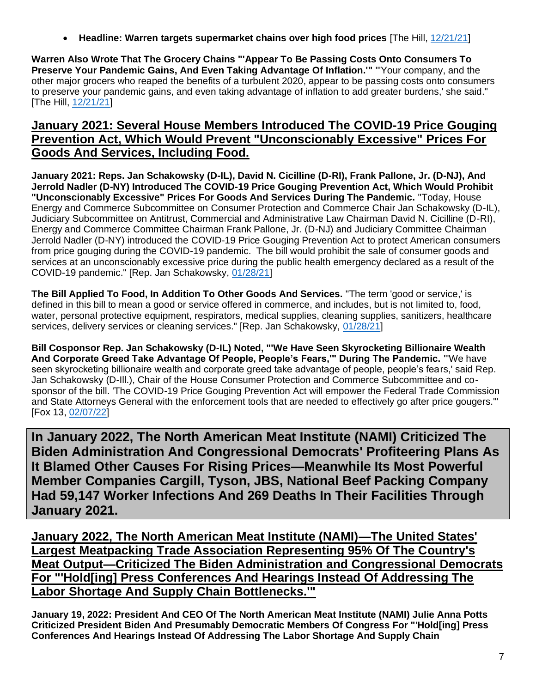• **Headline: Warren targets supermarket chains over high food prices** [The Hill, [12/21/21\]](https://thehill.com/homenews/senate/586710-warren-accuses-supermarket-chains-executives-of-profiting-from-inflation/)

**Warren Also Wrote That The Grocery Chains "'Appear To Be Passing Costs Onto Consumers To Preserve Your Pandemic Gains, And Even Taking Advantage Of Inflation.'"** "'Your company, and the other major grocers who reaped the benefits of a turbulent 2020, appear to be passing costs onto consumers to preserve your pandemic gains, and even taking advantage of inflation to add greater burdens,' she said." [The Hill, [12/21/21\]](https://thehill.com/homenews/senate/586710-warren-accuses-supermarket-chains-executives-of-profiting-from-inflation/)

# **January 2021: Several House Members Introduced The COVID-19 Price Gouging Prevention Act, Which Would Prevent "Unconscionably Excessive" Prices For Goods And Services, Including Food.**

**January 2021: Reps. Jan Schakowsky (D-IL), David N. Cicilline (D-RI), Frank Pallone, Jr. (D-NJ), And Jerrold Nadler (D-NY) Introduced The COVID-19 Price Gouging Prevention Act, Which Would Prohibit "Unconscionably Excessive" Prices For Goods And Services During The Pandemic.** "Today, House Energy and Commerce Subcommittee on Consumer Protection and Commerce Chair Jan Schakowsky (D-IL), Judiciary Subcommittee on Antitrust, Commercial and Administrative Law Chairman David N. Cicilline (D-RI), Energy and Commerce Committee Chairman Frank Pallone, Jr. (D-NJ) and Judiciary Committee Chairman Jerrold Nadler (D-NY) introduced the COVID-19 Price Gouging Prevention Act to protect American consumers from price gouging during the COVID-19 pandemic. The bill would prohibit the sale of consumer goods and services at an unconscionably excessive price during the public health emergency declared as a result of the COVID-19 pandemic." [Rep. Jan Schakowsky, [01/28/21\]](https://schakowsky.house.gov/media/press-releases/schakowsky-cicilline-pallone-nadler-re-introduce-bill-protect-americans-price)

**The Bill Applied To Food, In Addition To Other Goods And Services.** "The term 'good or service,' is defined in this bill to mean a good or service offered in commerce, and includes, but is not limited to, food, water, personal protective equipment, respirators, medical supplies, cleaning supplies, sanitizers, healthcare services, delivery services or cleaning services." [Rep. Jan Schakowsky, [01/28/21\]](https://schakowsky.house.gov/media/press-releases/schakowsky-cicilline-pallone-nadler-re-introduce-bill-protect-americans-price)

**Bill Cosponsor Rep. Jan Schakowsky (D-IL) Noted, "'We Have Seen Skyrocketing Billionaire Wealth And Corporate Greed Take Advantage Of People, People's Fears,'" During The Pandemic.** "'We have seen skyrocketing billionaire wealth and corporate greed take advantage of people, people's fears,' said Rep. Jan Schakowsky (D-Ill.), Chair of the House Consumer Protection and Commerce Subcommittee and cosponsor of the bill. 'The COVID-19 Price Gouging Prevention Act will empower the Federal Trade Commission and State Attorneys General with the enforcement tools that are needed to effectively go after price gougers.'" [Fox 13, [02/07/22\]](https://www.fox13memphis.com/news/local/lawmakers-weigh-bill-give-federal-government-more-power-crack-down-price-gouging/M4IEHDZCGRDTFPE6HENREXMOGE/)

**In January 2022, The North American Meat Institute (NAMI) Criticized The Biden Administration And Congressional Democrats' Profiteering Plans As It Blamed Other Causes For Rising Prices—Meanwhile Its Most Powerful Member Companies Cargill, Tyson, JBS, National Beef Packing Company Had 59,147 Worker Infections And 269 Deaths In Their Facilities Through January 2021.**

**January 2022, The North American Meat Institute (NAMI)—The United States' Largest Meatpacking Trade Association Representing 95% Of The Country's Meat Output—Criticized The Biden Administration and Congressional Democrats For "'Hold[ing] Press Conferences And Hearings Instead Of Addressing The Labor Shortage And Supply Chain Bottlenecks.'"**

**January 19, 2022: President And CEO Of The North American Meat Institute (NAMI) Julie Anna Potts Criticized President Biden And Presumably Democratic Members Of Congress For "**'**Hold[ing] Press Conferences And Hearings Instead Of Addressing The Labor Shortage And Supply Chain**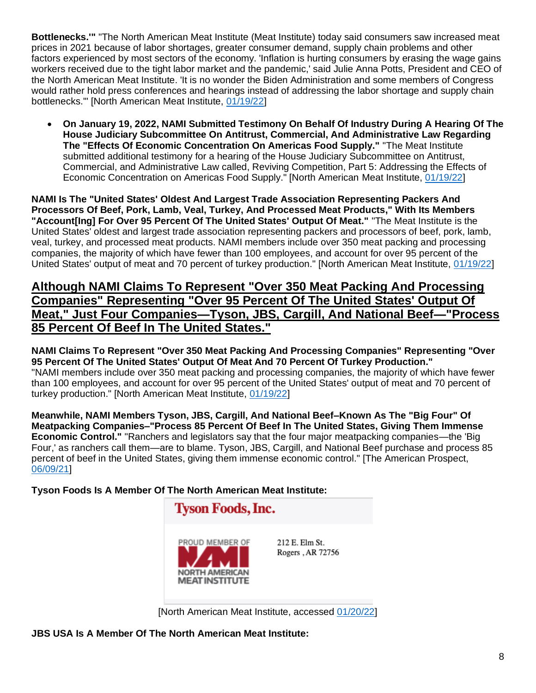**Bottlenecks.'"** "The North American Meat Institute (Meat Institute) today said consumers saw increased meat prices in 2021 because of labor shortages, greater consumer demand, supply chain problems and other factors experienced by most sectors of the economy. 'Inflation is hurting consumers by erasing the wage gains workers received due to the tight labor market and the pandemic,' said Julie Anna Potts, President and CEO of the North American Meat Institute. 'It is no wonder the Biden Administration and some members of Congress would rather hold press conferences and hearings instead of addressing the labor shortage and supply chain bottlenecks.'" [North American Meat Institute, [01/19/22\]](https://www.meatinstitute.org/ht/display/ReleaseDetails/i/200733/pid/287)

• **On January 19, 2022, NAMI Submitted Testimony On Behalf Of Industry During A Hearing Of The House Judiciary Subcommittee On Antitrust, Commercial, And Administrative Law Regarding The "Effects Of Economic Concentration On Americas Food Supply."** "The Meat Institute submitted additional testimony for a hearing of the House Judiciary Subcommittee on Antitrust, Commercial, and Administrative Law called, Reviving Competition, Part 5: Addressing the Effects of Economic Concentration on Americas Food Supply." [North American Meat Institute, [01/19/22\]](https://www.meatinstitute.org/ht/display/ReleaseDetails/i/200733/pid/287)

**NAMI Is The "United States' Oldest And Largest Trade Association Representing Packers And Processors Of Beef, Pork, Lamb, Veal, Turkey, And Processed Meat Products," With Its Members "Account[Ing] For Over 95 Percent Of The United States' Output Of Meat."** "The Meat Institute is the United States' oldest and largest trade association representing packers and processors of beef, pork, lamb, veal, turkey, and processed meat products. NAMI members include over 350 meat packing and processing companies, the majority of which have fewer than 100 employees, and account for over 95 percent of the United States' output of meat and 70 percent of turkey production." [North American Meat Institute, [01/19/22\]](https://www.meatinstitute.org/ht/display/ReleaseDetails/i/200733/pid/287)

### **Although NAMI Claims To Represent "Over 350 Meat Packing And Processing Companies" Representing "Over 95 Percent Of The United States' Output Of Meat," Just Four Companies—Tyson, JBS, Cargill, And National Beef—"Process 85 Percent Of Beef In The United States."**

**NAMI Claims To Represent "Over 350 Meat Packing And Processing Companies" Representing "Over 95 Percent Of The United States' Output Of Meat And 70 Percent Of Turkey Production."** "NAMI members include over 350 meat packing and processing companies, the majority of which have fewer than 100 employees, and account for over 95 percent of the United States' output of meat and 70 percent of turkey production." [North American Meat Institute, [01/19/22\]](https://www.meatinstitute.org/ht/display/ReleaseDetails/i/200733/pid/287)

**Meanwhile, NAMI Members Tyson, JBS, Cargill, And National Beef–Known As The "Big Four" Of Meatpacking Companies–"Process 85 Percent Of Beef In The United States, Giving Them Immense Economic Control."** "Ranchers and legislators say that the four major meatpacking companies—the 'Big Four,' as ranchers call them—are to blame. Tyson, JBS, Cargill, and National Beef purchase and process 85 percent of beef in the United States, giving them immense economic control." [The American Prospect, [06/09/21\]](https://prospect.org/power/big-four-meatpackers-crushing-small-ranchers/)

**Tyson Foods Is A Member Of The North American Meat Institute:** 



[North American Meat Institute, accessed [01/20/22\]](https://members.meatinstitute.org/apps/#ProductSearch)

**JBS USA Is A Member Of The North American Meat Institute:**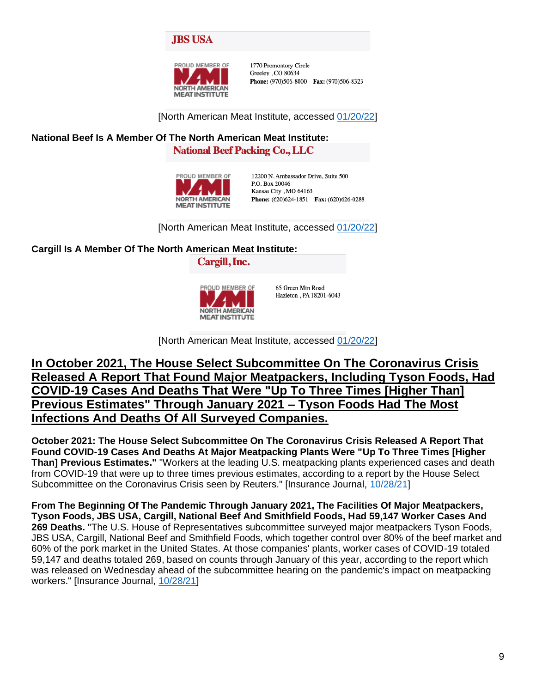



1770 Promontory Circle Greeley, CO 80634 Phone: (970)506-8000 Fax: (970)506-8323

[North American Meat Institute, accessed [01/20/22\]](https://members.meatinstitute.org/apps/#ProductSearch)

# **National Beef Is A Member Of The North American Meat Institute:**

**National Beef Packing Co., LLC** 



12200 N. Ambassador Drive, Suite 500 P.O. Box 20046 Kansas City, MO 64163 Phone: (620)624-1851 Fax: (620)626-0288

[North American Meat Institute, accessed [01/20/22\]](https://members.meatinstitute.org/apps/#ProductSearch)

**Cargill Is A Member Of The North American Meat Institute:** 

Cargill, Inc.



65 Green Mtn Road Hazleton, PA 18201-6043

[North American Meat Institute, accessed [01/20/22\]](https://members.meatinstitute.org/apps/#ProductSearch)

# **In October 2021, The House Select Subcommittee On The Coronavirus Crisis Released A Report That Found Major Meatpackers, Including Tyson Foods, Had COVID-19 Cases And Deaths That Were "Up To Three Times [Higher Than] Previous Estimates" Through January 2021 – Tyson Foods Had The Most Infections And Deaths Of All Surveyed Companies.**

**October 2021: The House Select Subcommittee On The Coronavirus Crisis Released A Report That Found COVID-19 Cases And Deaths At Major Meatpacking Plants Were "Up To Three Times [Higher Than] Previous Estimates."** "Workers at the leading U.S. meatpacking plants experienced cases and death from COVID-19 that were up to three times previous estimates, according to a report by the House Select Subcommittee on the Coronavirus Crisis seen by Reuters." [Insurance Journal, [10/28/21\]](https://www.insurancejournal.com/news/national/2021/10/28/639419.htm)

**From The Beginning Of The Pandemic Through January 2021, The Facilities Of Major Meatpackers, Tyson Foods, JBS USA, Cargill, National Beef And Smithfield Foods, Had 59,147 Worker Cases And 269 Deaths.** "The U.S. House of Representatives subcommittee surveyed major meatpackers Tyson Foods, JBS USA, Cargill, National Beef and Smithfield Foods, which together control over 80% of the beef market and 60% of the pork market in the United States. At those companies' plants, worker cases of COVID-19 totaled 59,147 and deaths totaled 269, based on counts through January of this year, according to the report which was released on Wednesday ahead of the subcommittee hearing on the pandemic's impact on meatpacking workers." [Insurance Journal, [10/28/21\]](https://www.insurancejournal.com/news/national/2021/10/28/639419.htm)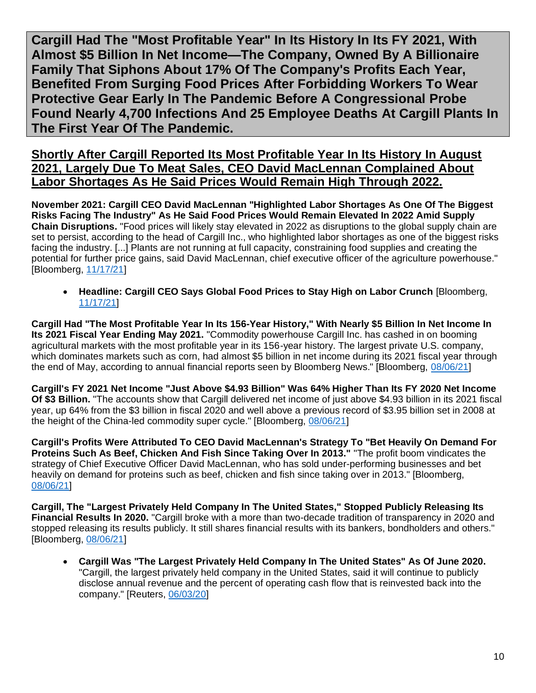<span id="page-9-0"></span>**Cargill Had The "Most Profitable Year" In Its History In Its FY 2021, With Almost \$5 Billion In Net Income—The Company, Owned By A Billionaire Family That Siphons About 17% Of The Company's Profits Each Year, Benefited From Surging Food Prices After Forbidding Workers To Wear Protective Gear Early In The Pandemic Before A Congressional Probe Found Nearly 4,700 Infections And 25 Employee Deaths At Cargill Plants In The First Year Of The Pandemic.**

**Shortly After Cargill Reported Its Most Profitable Year In Its History In August 2021, Largely Due To Meat Sales, CEO David MacLennan Complained About Labor Shortages As He Said Prices Would Remain High Through 2022.**

**November 2021: Cargill CEO David MacLennan "Highlighted Labor Shortages As One Of The Biggest Risks Facing The Industry" As He Said Food Prices Would Remain Elevated In 2022 Amid Supply Chain Disruptions.** "Food prices will likely stay elevated in 2022 as disruptions to the global supply chain are set to persist, according to the head of Cargill Inc., who highlighted labor shortages as one of the biggest risks facing the industry. [...] Plants are not running at full capacity, constraining food supplies and creating the potential for further price gains, said David MacLennan, chief executive officer of the agriculture powerhouse." [Bloomberg, [11/17/21\]](https://www.bloomberg.com/news/articles/2021-11-17/cargill-ceo-says-global-food-prices-to-stay-high-on-labor-crunch?sref=F7j0rXiB)

• **Headline: Cargill CEO Says Global Food Prices to Stay High on Labor Crunch** [Bloomberg, [11/17/21\]](https://www.bloomberg.com/news/articles/2021-11-17/cargill-ceo-says-global-food-prices-to-stay-high-on-labor-crunch?sref=F7j0rXiB)

**Cargill Had "The Most Profitable Year In Its 156-Year History," With Nearly \$5 Billion In Net Income In Its 2021 Fiscal Year Ending May 2021.** "Commodity powerhouse Cargill Inc. has cashed in on booming agricultural markets with the most profitable year in its 156-year history. The largest private U.S. company, which dominates markets such as corn, had almost \$5 billion in net income during its 2021 fiscal year through the end of May, according to annual financial reports seen by Bloomberg News." [Bloomberg, [08/06/21\]](https://www.bloomberg.com/news/articles/2021-08-06/crop-giant-cargill-reports-biggest-profit-in-156-year-history?sref=F7j0rXiB)

**Cargill's FY 2021 Net Income "Just Above \$4.93 Billion" Was 64% Higher Than Its FY 2020 Net Income Of \$3 Billion.** "The accounts show that Cargill delivered net income of just above \$4.93 billion in its 2021 fiscal year, up 64% from the \$3 billion in fiscal 2020 and well above a previous record of \$3.95 billion set in 2008 at the height of the China-led commodity super cycle." [Bloomberg, [08/06/21\]](https://www.bloomberg.com/news/articles/2021-08-06/crop-giant-cargill-reports-biggest-profit-in-156-year-history?sref=F7j0rXiB)

**Cargill's Profits Were Attributed To CEO David MacLennan's Strategy To "Bet Heavily On Demand For Proteins Such As Beef, Chicken And Fish Since Taking Over In 2013."** "The profit boom vindicates the strategy of Chief Executive Officer David MacLennan, who has sold under-performing businesses and bet heavily on demand for proteins such as beef, chicken and fish since taking over in 2013." [Bloomberg, [08/06/21\]](https://www.bloomberg.com/news/articles/2021-08-06/crop-giant-cargill-reports-biggest-profit-in-156-year-history?sref=F7j0rXiB)

**Cargill, The "Largest Privately Held Company In The United States," Stopped Publicly Releasing Its Financial Results In 2020.** "Cargill broke with a more than two-decade tradition of transparency in 2020 and stopped releasing its results publicly. It still shares financial results with its bankers, bondholders and others." [Bloomberg, [08/06/21\]](https://www.bloomberg.com/news/articles/2021-08-06/crop-giant-cargill-reports-biggest-profit-in-156-year-history?sref=F7j0rXiB)

• **Cargill Was "The Largest Privately Held Company In The United States" As Of June 2020.**  "Cargill, the largest privately held company in the United States, said it will continue to publicly disclose annual revenue and the percent of operating cash flow that is reinvested back into the company." [Reuters, [06/03/20\]](https://www.reuters.com/article/us-cargill-results-cancellation/cargill-halts-public-reporting-of-quarterly-results-idUSKBN23A2Y3)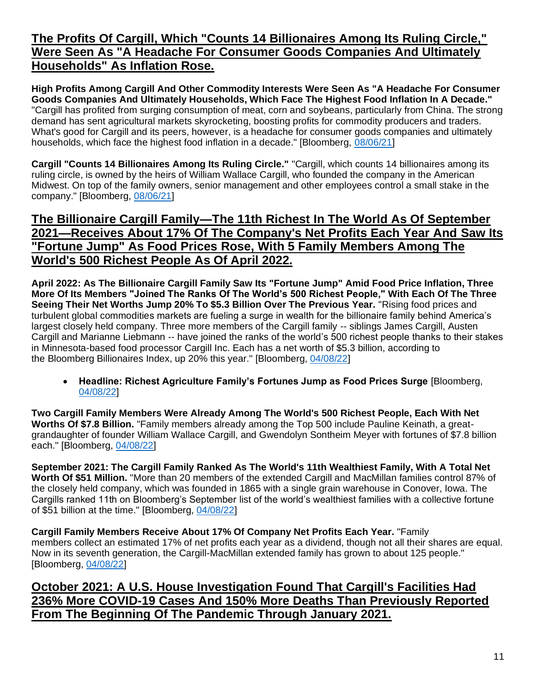# **The Profits Of Cargill, Which "Counts 14 Billionaires Among Its Ruling Circle," Were Seen As "A Headache For Consumer Goods Companies And Ultimately Households" As Inflation Rose.**

**High Profits Among Cargill And Other Commodity Interests Were Seen As "A Headache For Consumer Goods Companies And Ultimately Households, Which Face The Highest Food Inflation In A Decade."**  "Cargill has profited from surging consumption of meat, corn and soybeans, particularly from China. The strong demand has sent agricultural markets skyrocketing, boosting profits for commodity producers and traders. What's good for Cargill and its peers, however, is a headache for consumer goods companies and ultimately households, which face the highest food inflation in a decade." [Bloomberg, [08/06/21\]](https://www.bloomberg.com/news/articles/2021-08-06/crop-giant-cargill-reports-biggest-profit-in-156-year-history?sref=F7j0rXiB)

**Cargill "Counts 14 Billionaires Among Its Ruling Circle."** "Cargill, which counts 14 billionaires among its ruling circle, is owned by the heirs of William Wallace Cargill, who founded the company in the American Midwest. On top of the family owners, senior management and other employees control a small stake in the company." [Bloomberg, [08/06/21\]](https://www.bloomberg.com/news/articles/2021-08-06/crop-giant-cargill-reports-biggest-profit-in-156-year-history?sref=F7j0rXiB)

# **The Billionaire Cargill Family—The 11th Richest In The World As Of September 2021—Receives About 17% Of The Company's Net Profits Each Year And Saw Its "Fortune Jump" As Food Prices Rose, With 5 Family Members Among The World's 500 Richest People As Of April 2022.**

**April 2022: As The Billionaire Cargill Family Saw Its "Fortune Jump" Amid Food Price Inflation, Three More Of Its Members "Joined The Ranks Of The World's 500 Richest People," With Each Of The Three Seeing Their Net Worths Jump 20% To \$5.3 Billion Over The Previous Year.** "Rising food prices and turbulent global commodities markets are fueling a surge in wealth for the billionaire family behind America's largest closely held company. Three more members of the Cargill family -- siblings James Cargill, Austen Cargill and Marianne Liebmann -- have joined the ranks of the world's 500 richest people thanks to their stakes in Minnesota-based food processor Cargill Inc. Each has a net worth of \$5.3 billion, according to the Bloomberg Billionaires Index, up 20% this year." [Bloomberg, [04/08/22\]](https://www.bloomberg.com/news/articles/2022-04-08/richest-agriculture-family-s-fortunes-jump-as-food-prices-surge?sref=F7j0rXiB)

• **Headline: Richest Agriculture Family's Fortunes Jump as Food Prices Surge** [Bloomberg, [04/08/22\]](https://www.bloomberg.com/news/articles/2022-04-08/richest-agriculture-family-s-fortunes-jump-as-food-prices-surge?sref=F7j0rXiB)

**Two Cargill Family Members Were Already Among The World's 500 Richest People, Each With Net Worths Of \$7.8 Billion.** "Family members already among the Top 500 include Pauline Keinath, a greatgrandaughter of founder William Wallace Cargill, and Gwendolyn Sontheim Meyer with fortunes of \$7.8 billion each." [Bloomberg, [04/08/22\]](https://www.bloomberg.com/news/articles/2022-04-08/richest-agriculture-family-s-fortunes-jump-as-food-prices-surge?sref=F7j0rXiB)

**September 2021: The Cargill Family Ranked As The World's 11th Wealthiest Family, With A Total Net Worth Of \$51 Million.** "More than 20 members of the extended Cargill and MacMillan families control 87% of the closely held company, which was founded in 1865 with a single grain warehouse in Conover, Iowa. The Cargills ranked 11th on Bloomberg's September list of the world's wealthiest families with a collective fortune of \$51 billion at the time." [Bloomberg, [04/08/22\]](https://www.bloomberg.com/news/articles/2022-04-08/richest-agriculture-family-s-fortunes-jump-as-food-prices-surge?sref=F7j0rXiB)

**Cargill Family Members Receive About 17% Of Company Net Profits Each Year.** "Family members collect an estimated 17% of net profits each year as a dividend, though not all their shares are equal. Now in its seventh generation, the Cargill-MacMillan extended family has grown to about 125 people." [Bloomberg, [04/08/22\]](https://www.bloomberg.com/news/articles/2022-04-08/richest-agriculture-family-s-fortunes-jump-as-food-prices-surge?sref=F7j0rXiB)

**October 2021: A U.S. House Investigation Found That Cargill's Facilities Had 236% More COVID-19 Cases And 150% More Deaths Than Previously Reported From The Beginning Of The Pandemic Through January 2021.**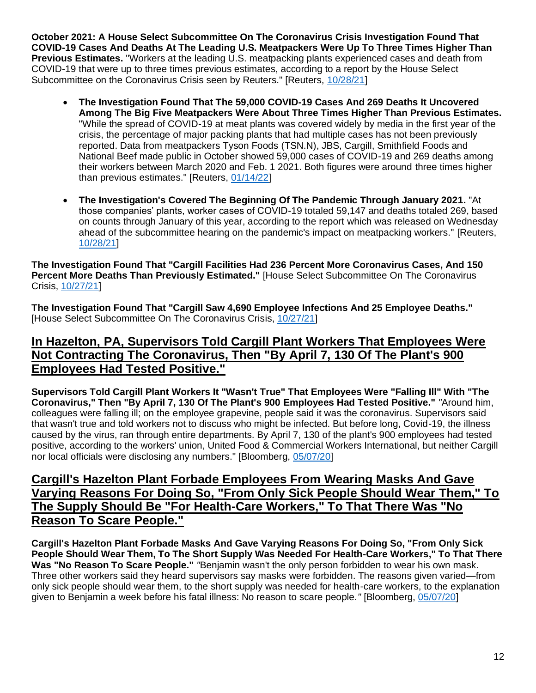**October 2021: A House Select Subcommittee On The Coronavirus Crisis Investigation Found That COVID-19 Cases And Deaths At The Leading U.S. Meatpackers Were Up To Three Times Higher Than Previous Estimates.** "Workers at the leading U.S. meatpacking plants experienced cases and death from COVID-19 that were up to three times previous estimates, according to a report by the House Select Subcommittee on the Coronavirus Crisis seen by Reuters." [Reuters, [10/28/21\]](https://www.reuters.com/world/us/coronavirus-infections-us-meat-plants-far-higher-than-previous-estimates-house-2021-10-27/)

- **The Investigation Found That The 59,000 COVID-19 Cases And 269 Deaths It Uncovered Among The Big Five Meatpackers Were About Three Times Higher Than Previous Estimates.** "While the spread of COVID-19 at meat plants was covered widely by media in the first year of the crisis, the percentage of major packing plants that had multiple cases has not been previously reported. Data from meatpackers Tyson Foods (TSN.N), JBS, Cargill, Smithfield Foods and National Beef made public in October showed 59,000 cases of COVID-19 and 269 deaths among their workers between March 2020 and Feb. 1 2021. Both figures were around three times higher than previous estimates." [Reuters, [01/14/22\]](https://www.reuters.com/business/nearly-90-big-us-meat-plants-had-covid-19-cases-pandemics-first-year-data-2022-01-14/)
- **The Investigation's Covered The Beginning Of The Pandemic Through January 2021.** "At those companies' plants, worker cases of COVID-19 totaled 59,147 and deaths totaled 269, based on counts through January of this year, according to the report which was released on Wednesday ahead of the subcommittee hearing on the pandemic's impact on meatpacking workers." [Reuters, [10/28/21\]](https://www.reuters.com/world/us/coronavirus-infections-us-meat-plants-far-higher-than-previous-estimates-house-2021-10-27/)

**The Investigation Found That "Cargill Facilities Had 236 Percent More Coronavirus Cases, And 150 Percent More Deaths Than Previously Estimated."** [House Select Subcommittee On The Coronavirus Crisis, [10/27/21\]](https://coronavirus.house.gov/sites/democrats.coronavirus.house.gov/files/2021.10.27%20Meatpacking%20Report.Final_.pdf)

**The Investigation Found That "Cargill Saw 4,690 Employee Infections And 25 Employee Deaths."**  [House Select Subcommittee On The Coronavirus Crisis, [10/27/21\]](https://coronavirus.house.gov/sites/democrats.coronavirus.house.gov/files/2021.10.27%20Meatpacking%20Report.Final_.pdf)

### **In Hazelton, PA, Supervisors Told Cargill Plant Workers That Employees Were Not Contracting The Coronavirus, Then "By April 7, 130 Of The Plant's 900 Employees Had Tested Positive."**

**Supervisors Told Cargill Plant Workers It "Wasn't True" That Employees Were "Falling Ill" With "The Coronavirus," Then "By April 7, 130 Of The Plant's 900 Employees Had Tested Positive."** *"*Around him, colleagues were falling ill; on the employee grapevine, people said it was the coronavirus. Supervisors said that wasn't true and told workers not to discuss who might be infected. But before long, Covid-19, the illness caused by the virus, ran through entire departments. By April 7, 130 of the plant's 900 employees had tested positive, according to the workers' union, United Food & Commercial Workers International, but neither Cargill nor local officials were disclosing any numbers." [Bloomberg, [05/07/20\]](https://www.bloomberg.com/news/features/2020-05-07/coronavirus-closes-meat-plants-threatens-food-supply?sref=F7j0rXiB)

# **Cargill's Hazelton Plant Forbade Employees From Wearing Masks And Gave Varying Reasons For Doing So, "From Only Sick People Should Wear Them," To The Supply Should Be "For Health-Care Workers," To That There Was "No Reason To Scare People."**

**Cargill's Hazelton Plant Forbade Masks And Gave Varying Reasons For Doing So, "From Only Sick People Should Wear Them, To The Short Supply Was Needed For Health-Care Workers," To That There Was "No Reason To Scare People."** *"*Benjamin wasn't the only person forbidden to wear his own mask. Three other workers said they heard supervisors say masks were forbidden. The reasons given varied—from only sick people should wear them, to the short supply was needed for health-care workers, to the explanation given to Benjamin a week before his fatal illness: No reason to scare people.*"* [Bloomberg, [05/07/20\]](https://www.bloomberg.com/news/features/2020-05-07/coronavirus-closes-meat-plants-threatens-food-supply)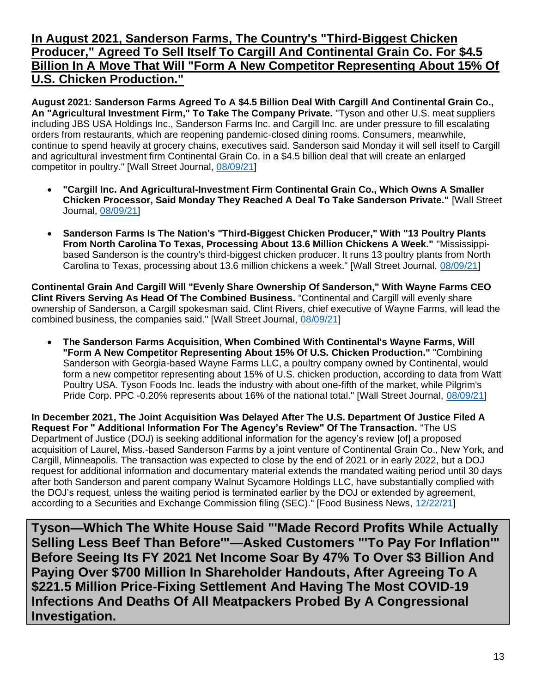### **In August 2021, Sanderson Farms, The Country's "Third-Biggest Chicken Producer," Agreed To Sell Itself To Cargill And Continental Grain Co. For \$4.5 Billion In A Move That Will "Form A New Competitor Representing About 15% Of U.S. Chicken Production."**

**August 2021: Sanderson Farms Agreed To A \$4.5 Billion Deal With Cargill And Continental Grain Co., An "Agricultural Investment Firm," To Take The Company Private.** "Tyson and other U.S. meat suppliers including JBS USA Holdings Inc., Sanderson Farms Inc. and Cargill Inc. are under pressure to fill escalating orders from restaurants, which are reopening pandemic-closed dining rooms. Consumers, meanwhile, continue to spend heavily at grocery chains, executives said. Sanderson said Monday it will sell itself to Cargill and agricultural investment firm Continental Grain Co. in a \$4.5 billion deal that will create an enlarged competitor in poultry." [Wall Street Journal, [08/09/21\]](https://www.wsj.com/articles/tyson-foods-says-labor-grain-costs-boosting-meat-prices-11628529948)

- **"Cargill Inc. And Agricultural-Investment Firm Continental Grain Co., Which Owns A Smaller Chicken Processor, Said Monday They Reached A Deal To Take Sanderson Private."** [Wall Street Journal, [08/09/21\]](https://www.wsj.com/articles/chicken-producer-sanderson-farms-nears-sale-to-continental-grain-cargill-11628461800?mod=article_inline)
- **Sanderson Farms Is The Nation's "Third-Biggest Chicken Producer," With "13 Poultry Plants From North Carolina To Texas, Processing About 13.6 Million Chickens A Week."** "Mississippibased Sanderson is the country's third-biggest chicken producer. It runs 13 poultry plants from North Carolina to Texas, processing about 13.6 million chickens a week." [Wall Street Journal, [08/09/21\]](https://www.wsj.com/articles/chicken-producer-sanderson-farms-nears-sale-to-continental-grain-cargill-11628461800?mod=article_inline)

**Continental Grain And Cargill Will "Evenly Share Ownership Of Sanderson," With Wayne Farms CEO Clint Rivers Serving As Head Of The Combined Business.** "Continental and Cargill will evenly share ownership of Sanderson, a Cargill spokesman said. Clint Rivers, chief executive of Wayne Farms, will lead the combined business, the companies said." [Wall Street Journal, [08/09/21\]](https://www.wsj.com/articles/chicken-producer-sanderson-farms-nears-sale-to-continental-grain-cargill-11628461800?mod=article_inline)

• **The Sanderson Farms Acquisition, When Combined With Continental's Wayne Farms, Will "Form A New Competitor Representing About 15% Of U.S. Chicken Production."** "Combining Sanderson with Georgia-based Wayne Farms LLC, a poultry company owned by Continental, would form a new competitor representing about 15% of U.S. chicken production, according to data from Watt Poultry USA. Tyson Foods Inc. leads the industry with about one-fifth of the market, while Pilgrim's Pride Corp. PPC -0.20% represents about 16% of the national total." [Wall Street Journal, [08/09/21\]](https://www.wsj.com/articles/chicken-producer-sanderson-farms-nears-sale-to-continental-grain-cargill-11628461800?mod=article_inline)

**In December 2021, The Joint Acquisition Was Delayed After The U.S. Department Of Justice Filed A Request For " Additional Information For The Agency's Review" Of The Transaction.** "The US Department of Justice (DOJ) is seeking additional information for the agency's review [of] a proposed acquisition of Laurel, Miss.-based Sanderson Farms by a joint venture of Continental Grain Co., New York, and Cargill, Minneapolis. The transaction was expected to close by the end of 2021 or in early 2022, but a DOJ request for additional information and documentary material extends the mandated waiting period until 30 days after both Sanderson and parent company Walnut Sycamore Holdings LLC, have substantially complied with the DOJ's request, unless the waiting period is terminated earlier by the DOJ or extended by agreement, according to a Securities and Exchange Commission filing (SEC)." [Food Business News, [12/22/21\]](https://www.foodbusinessnews.net/articles/20298-sanderson-farms-sale-delayed-by-doj)

<span id="page-12-0"></span>**Tyson—Which The White House Said "'Made Record Profits While Actually Selling Less Beef Than Before'"—Asked Customers "'To Pay For Inflation'" Before Seeing Its FY 2021 Net Income Soar By 47% To Over \$3 Billion And Paying Over \$700 Million In Shareholder Handouts, After Agreeing To A \$221.5 Million Price-Fixing Settlement And Having The Most COVID-19 Infections And Deaths Of All Meatpackers Probed By A Congressional Investigation.**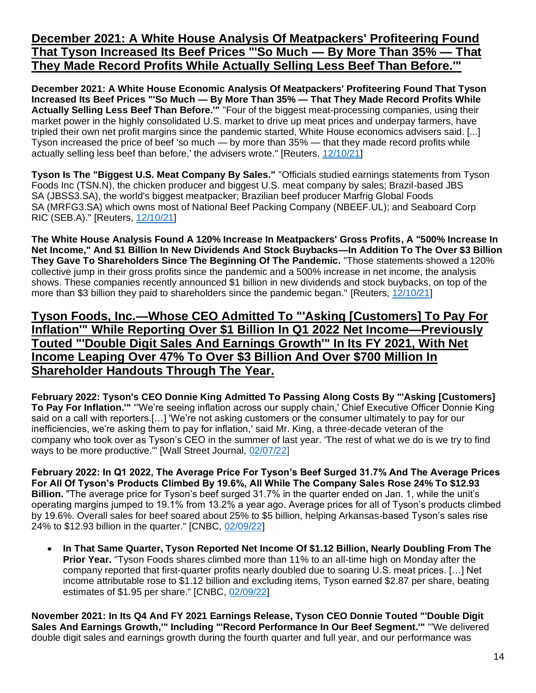# **December 2021: A White House Analysis Of Meatpackers' Profiteering Found That Tyson Increased Its Beef Prices "'So Much — By More Than 35% — That They Made Record Profits While Actually Selling Less Beef Than Before.'"**

**December 2021: A White House Economic Analysis Of Meatpackers' Profiteering Found That Tyson Increased Its Beef Prices "'So Much — By More Than 35% — That They Made Record Profits While Actually Selling Less Beef Than Before.'"** "Four of the biggest meat-processing companies, using their market power in the highly consolidated U.S. market to drive up meat prices and underpay farmers, have tripled their own net profit margins since the pandemic started, White House economics advisers said. [...] Tyson increased the price of beef 'so much — by more than 35% — that they made record profits while actually selling less beef than before,' the advisers wrote." [Reuters, [12/10/21\]](https://www.reuters.com/business/meat-packers-profit-margins-jumped-300-during-pandemic-white-house-economics-2021-12-10/)

**Tyson Is The "Biggest U.S. Meat Company By Sales."** "Officials studied earnings statements from Tyson Foods Inc (TSN.N), the chicken producer and biggest U.S. meat company by sales; Brazil-based JBS SA (JBSS3.SA), the world's biggest meatpacker; Brazilian beef producer Marfrig Global Foods SA (MRFG3.SA) which owns most of National Beef Packing Company (NBEEF.UL); and Seaboard Corp RIC (SEB.A)." [Reuters, [12/10/21\]](https://www.reuters.com/business/meat-packers-profit-margins-jumped-300-during-pandemic-white-house-economics-2021-12-10/)

**The White House Analysis Found A 120% Increase In Meatpackers' Gross Profits, A "500% Increase In Net Income," And \$1 Billion In New Dividends And Stock Buybacks—In Addition To The Over \$3 Billion They Gave To Shareholders Since The Beginning Of The Pandemic.** "Those statements showed a 120% collective jump in their gross profits since the pandemic and a 500% increase in net income, the analysis shows. These companies recently announced \$1 billion in new dividends and stock buybacks, on top of the more than \$3 billion they paid to shareholders since the pandemic began." [Reuters, [12/10/21\]](https://www.reuters.com/business/meat-packers-profit-margins-jumped-300-during-pandemic-white-house-economics-2021-12-10/)

#### **Tyson Foods, Inc.—Whose CEO Admitted To "'Asking [Customers] To Pay For Inflation'" While Reporting Over \$1 Billion In Q1 2022 Net Income—Previously Touted "'Double Digit Sales And Earnings Growth'" In Its FY 2021, With Net Income Leaping Over 47% To Over \$3 Billion And Over \$700 Million In Shareholder Handouts Through The Year.**

**February 2022: Tyson's CEO Donnie King Admitted To Passing Along Costs By "'Asking [Customers] To Pay For Inflation.'"** "'We're seeing inflation across our supply chain,' Chief Executive Officer Donnie King said on a call with reporters.[…] 'We're not asking customers or the consumer ultimately to pay for our inefficiencies, we're asking them to pay for inflation,' said Mr. King, a three-decade veteran of the company who took over as Tyson's CEO in the summer of last year. 'The rest of what we do is we try to find ways to be more productive.'" [Wall Street Journal, [02/07/22\]](https://www.wsj.com/articles/tyson-posts-higher-quarterly-profit-on-price-increases-strong-demand-11644241426#:~:text=1%2C%20Tyson%20said%20its%20average,on%20a%20call%20with%20reporters.)

**February 2022: In Q1 2022, The Average Price For Tyson's Beef Surged 31.7% And The Average Prices For All Of Tyson's Products Climbed By 19.6%, All While The Company Sales Rose 24% To \$12.93 Billion.** "The average price for Tyson's beef surged 31.7% in the quarter ended on Jan. 1, while the unit's operating margins jumped to 19.1% from 13.2% a year ago. Average prices for all of Tyson's products climbed by 19.6%. Overall sales for beef soared about 25% to \$5 billion, helping Arkansas-based Tyson's sales rise 24% to \$12.93 billion in the quarter." [CNBC, [02/09/22\]](https://www.cnbc.com/2022/02/07/tyson-foods-higher-meat-prices-nearly-doubles-profits-.html)

• **In That Same Quarter, Tyson Reported Net Income Of \$1.12 Billion, Nearly Doubling From The Prior Year.** "Tyson Foods shares climbed more than 11% to an all-time high on Monday after the company reported that first-quarter profits nearly doubled due to soaring U.S. meat prices. […] Net income attributable rose to \$1.12 billion and excluding items, Tyson earned \$2.87 per share, beating estimates of \$1.95 per share." [CNBC, [02/09/22\]](https://www.cnbc.com/2022/02/07/tyson-foods-higher-meat-prices-nearly-doubles-profits-.html)

**November 2021: In Its Q4 And FY 2021 Earnings Release, Tyson CEO Donnie Touted "'Double Digit Sales And Earnings Growth,'" Including "'Record Performance In Our Beef Segment.'"** "'We delivered double digit sales and earnings growth during the fourth quarter and full year, and our performance was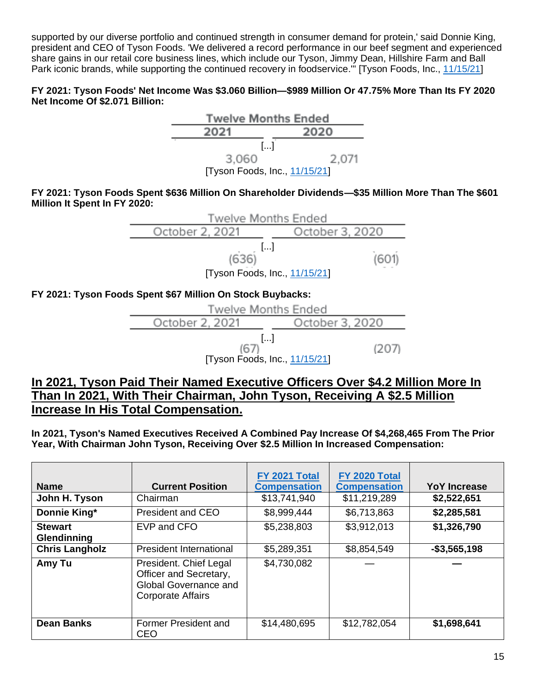supported by our diverse portfolio and continued strength in consumer demand for protein,' said Donnie King, president and CEO of Tyson Foods. 'We delivered a record performance in our beef segment and experienced share gains in our retail core business lines, which include our Tyson, Jimmy Dean, Hillshire Farm and Ball Park iconic brands, while supporting the continued recovery in foodservice.'" [Tyson Foods, Inc., [11/15/21\]](https://ir.tyson.com/news/news-details/2021/Tyson-Foods-Reports-Strong-Fourth-Quarter-and-Fiscal-2021-Results/default.aspx)

#### **FY 2021: Tyson Foods' Net Income Was \$3.060 Billion—\$989 Million Or 47.75% More Than Its FY 2020 Net Income Of \$2.071 Billion:**



**FY 2021: Tyson Foods Spent \$636 Million On Shareholder Dividends—\$35 Million More Than The \$601 Million It Spent In FY 2020:**



#### **FY 2021: Tyson Foods Spent \$67 Million On Stock Buybacks:**



### **In 2021, Tyson Paid Their Named Executive Officers Over \$4.2 Million More In Than In 2021, With Their Chairman, John Tyson, Receiving A \$2.5 Million Increase In His Total Compensation.**

**In 2021, Tyson's Named Executives Received A Combined Pay Increase Of \$4,268,465 From The Prior Year, With Chairman John Tyson, Receiving Over \$2.5 Million In Increased Compensation:**

| <b>Name</b>                   | <b>Current Position</b>                                                                               | FY 2021 Total<br><b>Compensation</b> | FY 2020 Total<br><b>Compensation</b> | YoY Increase    |
|-------------------------------|-------------------------------------------------------------------------------------------------------|--------------------------------------|--------------------------------------|-----------------|
| John H. Tyson                 | Chairman                                                                                              | \$13,741,940                         | \$11,219,289                         | \$2,522,651     |
| Donnie King*                  | <b>President and CEO</b>                                                                              | \$8,999,444                          | \$6,713,863                          | \$2,285,581     |
| <b>Stewart</b><br>Glendinning | EVP and CFO                                                                                           | \$5,238,803                          | \$3,912,013                          | \$1,326,790     |
| <b>Chris Langholz</b>         | President International                                                                               | \$5,289,351                          | \$8,854,549                          | $-$ \$3,565,198 |
| Amy Tu                        | President. Chief Legal<br>Officer and Secretary,<br>Global Governance and<br><b>Corporate Affairs</b> | \$4,730,082                          |                                      |                 |
| <b>Dean Banks</b>             | Former President and<br><b>CEO</b>                                                                    | \$14,480,695                         | \$12,782,054                         | \$1,698,641     |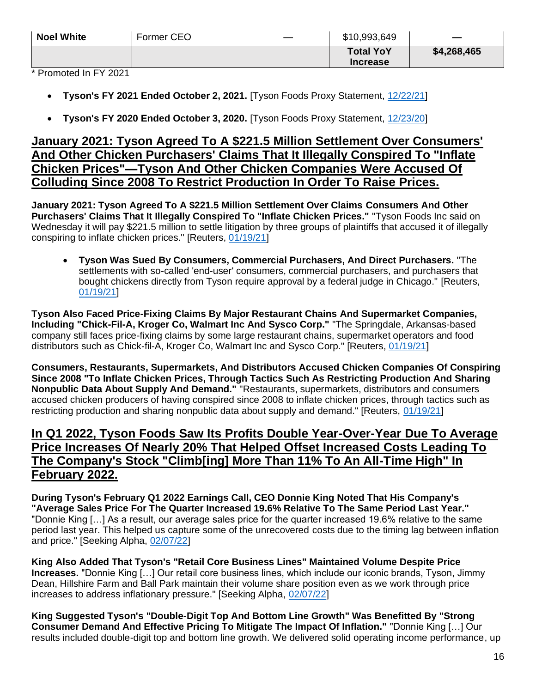| \$4,268,465<br><b>Total YoY</b> | <b>Noel White</b> | Former CEO | \$10,993,649    | $\equiv$ |
|---------------------------------|-------------------|------------|-----------------|----------|
|                                 |                   |            | <b>Increase</b> |          |

\* Promoted In FY 2021

- **Tyson's FY 2021 Ended October 2, 2021.** [Tyson Foods Proxy Statement, [12/22/21\]](https://www.sec.gov/Archives/edgar/data/100493/000010049321000194/a2021proxystatement.htm)
- **Tyson's FY 2020 Ended October 3, 2020.** [Tyson Foods Proxy Statement, [12/23/20\]](https://www.sec.gov/Archives/edgar/data/0000100493/000010049320000207/proxystatement-2020.htm)

#### **January 2021: Tyson Agreed To A \$221.5 Million Settlement Over Consumers' And Other Chicken Purchasers' Claims That It Illegally Conspired To "Inflate Chicken Prices"—Tyson And Other Chicken Companies Were Accused Of Colluding Since 2008 To Restrict Production In Order To Raise Prices.**

**January 2021: Tyson Agreed To A \$221.5 Million Settlement Over Claims Consumers And Other Purchasers' Claims That It Illegally Conspired To "Inflate Chicken Prices."** "Tyson Foods Inc said on Wednesday it will pay \$221.5 million to settle litigation by three groups of plaintiffs that accused it of illegally conspiring to inflate chicken prices." [Reuters, [01/19/21\]](https://www.reuters.com/article/us-tyson-foods-chicken-settlement/tyson-foods-to-pay-221-5-million-to-settle-some-chicken-price-fixing-claims-idUSKBN29O2IK)

• **Tyson Was Sued By Consumers, Commercial Purchasers, And Direct Purchasers.** "The settlements with so-called 'end-user' consumers, commercial purchasers, and purchasers that bought chickens directly from Tyson require approval by a federal judge in Chicago." [Reuters, [01/19/21\]](https://www.reuters.com/article/us-tyson-foods-chicken-settlement/tyson-foods-to-pay-221-5-million-to-settle-some-chicken-price-fixing-claims-idUSKBN29O2IK)

**Tyson Also Faced Price-Fixing Claims By Major Restaurant Chains And Supermarket Companies, Including "Chick-Fil-A, Kroger Co, Walmart Inc And Sysco Corp."** "The Springdale, Arkansas-based company still faces price-fixing claims by some large restaurant chains, supermarket operators and food distributors such as Chick-fil-A, Kroger Co, Walmart Inc and Sysco Corp." [Reuters, [01/19/21\]](https://www.reuters.com/article/us-tyson-foods-chicken-settlement/tyson-foods-to-pay-221-5-million-to-settle-some-chicken-price-fixing-claims-idUSKBN29O2IK)

**Consumers, Restaurants, Supermarkets, And Distributors Accused Chicken Companies Of Conspiring Since 2008 "To Inflate Chicken Prices, Through Tactics Such As Restricting Production And Sharing Nonpublic Data About Supply And Demand."** "Restaurants, supermarkets, distributors and consumers accused chicken producers of having conspired since 2008 to inflate chicken prices, through tactics such as restricting production and sharing nonpublic data about supply and demand." [Reuters, [01/19/21\]](https://www.reuters.com/article/us-tyson-foods-chicken-settlement/tyson-foods-to-pay-221-5-million-to-settle-some-chicken-price-fixing-claims-idUSKBN29O2IK)

#### **In Q1 2022, Tyson Foods Saw Its Profits Double Year-Over-Year Due To Average Price Increases Of Nearly 20% That Helped Offset Increased Costs Leading To The Company's Stock "Climb[ing] More Than 11% To An All-Time High" In February 2022.**

**During Tyson's February Q1 2022 Earnings Call, CEO Donnie King Noted That His Company's "Average Sales Price For The Quarter Increased 19.6% Relative To The Same Period Last Year."**  "Donnie King […] As a result, our average sales price for the quarter increased 19.6% relative to the same period last year. This helped us capture some of the unrecovered costs due to the timing lag between inflation and price." [Seeking Alpha, [02/07/22\]](https://seekingalpha.com/article/4484910-tyson-foods-inc-tsn-ceo-donnie-king-on-q1-2022-results-earnings-call-transcript)

**King Also Added That Tyson's "Retail Core Business Lines" Maintained Volume Despite Price Increases.** "Donnie King […] Our retail core business lines, which include our iconic brands, Tyson, Jimmy Dean, Hillshire Farm and Ball Park maintain their volume share position even as we work through price increases to address inflationary pressure." [Seeking Alpha, [02/07/22\]](https://seekingalpha.com/article/4484910-tyson-foods-inc-tsn-ceo-donnie-king-on-q1-2022-results-earnings-call-transcript)

**King Suggested Tyson's "Double-Digit Top And Bottom Line Growth" Was Benefitted By "Strong Consumer Demand And Effective Pricing To Mitigate The Impact Of Inflation."** "Donnie King […] Our results included double-digit top and bottom line growth. We delivered solid operating income performance, up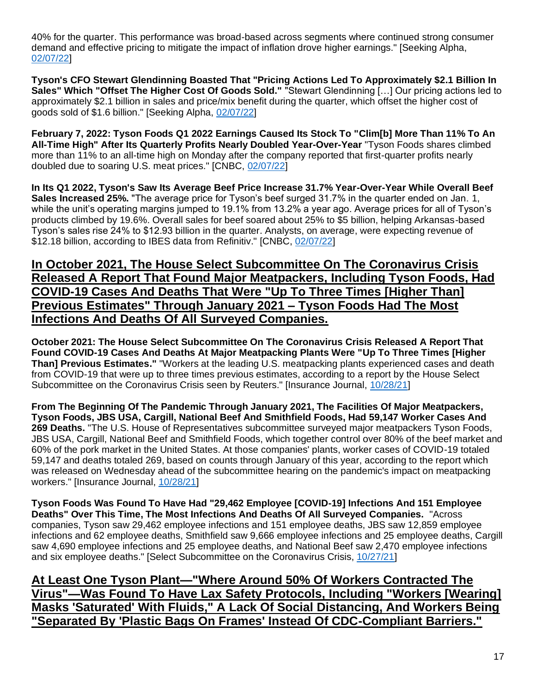40% for the quarter. This performance was broad-based across segments where continued strong consumer demand and effective pricing to mitigate the impact of inflation drove higher earnings." [Seeking Alpha, [02/07/22\]](https://seekingalpha.com/article/4484910-tyson-foods-inc-tsn-ceo-donnie-king-on-q1-2022-results-earnings-call-transcript)

**Tyson's CFO Stewart Glendinning Boasted That "Pricing Actions Led To Approximately \$2.1 Billion In Sales" Which "Offset The Higher Cost Of Goods Sold."** "Stewart Glendinning […] Our pricing actions led to approximately \$2.1 billion in sales and price/mix benefit during the quarter, which offset the higher cost of goods sold of \$1.6 billion." [Seeking Alpha, [02/07/22\]](https://seekingalpha.com/article/4484910-tyson-foods-inc-tsn-ceo-donnie-king-on-q1-2022-results-earnings-call-transcript)

**February 7, 2022: Tyson Foods Q1 2022 Earnings Caused Its Stock To "Clim[b] More Than 11% To An All-Time High" After Its Quarterly Profits Nearly Doubled Year-Over-Year** "Tyson Foods shares climbed more than 11% to an all-time high on Monday after the company reported that first-quarter profits nearly doubled due to soaring U.S. meat prices." [CNBC, [02/07/22\]](https://www.cnbc.com/2022/02/07/tyson-foods-higher-meat-prices-nearly-doubles-profits-.html)

**In Its Q1 2022, Tyson's Saw Its Average Beef Price Increase 31.7% Year-Over-Year While Overall Beef Sales Increased 25%.** "The average price for Tyson's beef surged 31.7% in the quarter ended on Jan. 1, while the unit's operating margins jumped to 19.1% from 13.2% a year ago. Average prices for all of Tyson's products climbed by 19.6%. Overall sales for beef soared about 25% to \$5 billion, helping Arkansas-based Tyson's sales rise 24% to \$12.93 billion in the quarter. Analysts, on average, were expecting revenue of \$12.18 billion, according to IBES data from Refinitiv." [CNBC, [02/07/22\]](https://www.cnbc.com/2022/02/07/tyson-foods-higher-meat-prices-nearly-doubles-profits-.html)

## **In October 2021, The House Select Subcommittee On The Coronavirus Crisis Released A Report That Found Major Meatpackers, Including Tyson Foods, Had COVID-19 Cases And Deaths That Were "Up To Three Times [Higher Than] Previous Estimates" Through January 2021 – Tyson Foods Had The Most Infections And Deaths Of All Surveyed Companies.**

**October 2021: The House Select Subcommittee On The Coronavirus Crisis Released A Report That Found COVID-19 Cases And Deaths At Major Meatpacking Plants Were "Up To Three Times [Higher Than] Previous Estimates."** "Workers at the leading U.S. meatpacking plants experienced cases and death from COVID-19 that were up to three times previous estimates, according to a report by the House Select Subcommittee on the Coronavirus Crisis seen by Reuters." [Insurance Journal, [10/28/21\]](https://www.insurancejournal.com/news/national/2021/10/28/639419.htm)

**From The Beginning Of The Pandemic Through January 2021, The Facilities Of Major Meatpackers, Tyson Foods, JBS USA, Cargill, National Beef And Smithfield Foods, Had 59,147 Worker Cases And 269 Deaths.** "The U.S. House of Representatives subcommittee surveyed major meatpackers Tyson Foods, JBS USA, Cargill, National Beef and Smithfield Foods, which together control over 80% of the beef market and 60% of the pork market in the United States. At those companies' plants, worker cases of COVID-19 totaled 59,147 and deaths totaled 269, based on counts through January of this year, according to the report which was released on Wednesday ahead of the subcommittee hearing on the pandemic's impact on meatpacking workers." [Insurance Journal, [10/28/21\]](https://www.insurancejournal.com/news/national/2021/10/28/639419.htm)

**Tyson Foods Was Found To Have Had "29,462 Employee [COVID-19] Infections And 151 Employee Deaths" Over This Time, The Most Infections And Deaths Of All Surveyed Companies.** "Across companies, Tyson saw 29,462 employee infections and 151 employee deaths, JBS saw 12,859 employee infections and 62 employee deaths, Smithfield saw 9,666 employee infections and 25 employee deaths, Cargill saw 4,690 employee infections and 25 employee deaths, and National Beef saw 2,470 employee infections and six employee deaths." [Select Subcommittee on the Coronavirus Crisis, [10/27/21\]](https://coronavirus.house.gov/sites/democrats.coronavirus.house.gov/files/2021.10.27%20Meatpacking%20Report.Final_.pdf)

**At Least One Tyson Plant—"Where Around 50% Of Workers Contracted The Virus"—Was Found To Have Lax Safety Protocols, Including "Workers [Wearing] Masks 'Saturated' With Fluids," A Lack Of Social Distancing, And Workers Being "Separated By 'Plastic Bags On Frames' Instead Of CDC-Compliant Barriers."**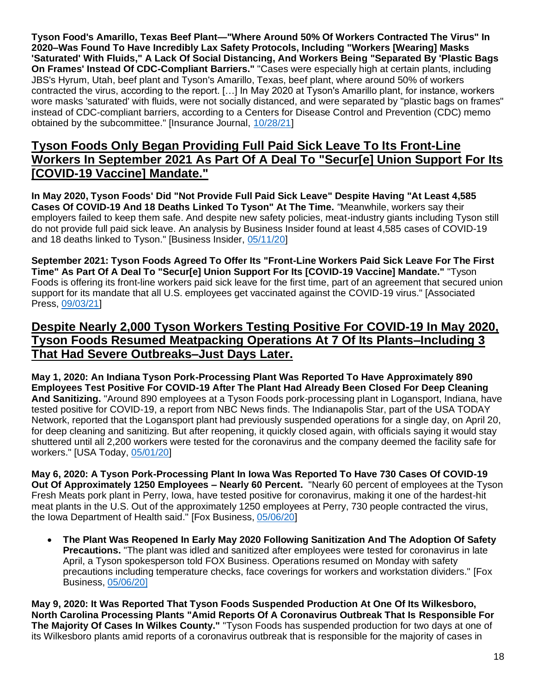**Tyson Food's Amarillo, Texas Beef Plant—"Where Around 50% Of Workers Contracted The Virus" In 2020–Was Found To Have Incredibly Lax Safety Protocols, Including "Workers [Wearing] Masks 'Saturated' With Fluids," A Lack Of Social Distancing, And Workers Being "Separated By 'Plastic Bags On Frames' Instead Of CDC-Compliant Barriers."** "Cases were especially high at certain plants, including JBS's Hyrum, Utah, beef plant and Tyson's Amarillo, Texas, beef plant, where around 50% of workers contracted the virus, according to the report. […] In May 2020 at Tyson's Amarillo plant, for instance, workers wore masks 'saturated' with fluids, were not socially distanced, and were separated by "plastic bags on frames" instead of CDC-compliant barriers, according to a Centers for Disease Control and Prevention (CDC) memo obtained by the subcommittee." [Insurance Journal, [10/28/21\]](https://www.insurancejournal.com/news/national/2021/10/28/639419.htm)

## **Tyson Foods Only Began Providing Full Paid Sick Leave To Its Front-Line Workers In September 2021 As Part Of A Deal To "Secur[e] Union Support For Its [COVID-19 Vaccine] Mandate."**

**In May 2020, Tyson Foods' Did "Not Provide Full Paid Sick Leave" Despite Having "At Least 4,585 Cases Of COVID-19 And 18 Deaths Linked To Tyson" At The Time.** *"*Meanwhile, workers say their employers failed to keep them safe. And despite new safety policies, meat-industry giants including Tyson still do not provide full paid sick leave. An analysis by Business Insider found at least 4,585 cases of COVID-19 and 18 deaths linked to Tyson." [Business Insider, [05/11/20\]](https://www.businessinsider.com/tyson-4500-covid-19-cases-as-meat-industry-blames-workers-2020-5)

**September 2021: Tyson Foods Agreed To Offer Its "Front-Line Workers Paid Sick Leave For The First Time" As Part Of A Deal To "Secur[e] Union Support For Its [COVID-19 Vaccine] Mandate."** "Tyson Foods is offering its front-line workers paid sick leave for the first time, part of an agreement that secured union support for its mandate that all U.S. employees get vaccinated against the COVID-19 virus." [Associated Press, [09/03/21\]](https://apnews.com/article/business-health-coronavirus-pandemic-9a16ce530713d7ebda4f38536005da9a)

# **Despite Nearly 2,000 Tyson Workers Testing Positive For COVID-19 In May 2020, Tyson Foods Resumed Meatpacking Operations At 7 Of Its Plants–Including 3 That Had Severe Outbreaks–Just Days Later.**

**May 1, 2020: An Indiana Tyson Pork-Processing Plant Was Reported To Have Approximately 890 Employees Test Positive For COVID-19 After The Plant Had Already Been Closed For Deep Cleaning And Sanitizing.** "Around 890 employees at a Tyson Foods pork-processing plant in Logansport, Indiana, have tested positive for COVID-19, a report from NBC News finds. The Indianapolis Star, part of the USA TODAY Network, reported that the Logansport plant had previously suspended operations for a single day, on April 20, for deep cleaning and sanitizing. But after reopening, it quickly closed again, with officials saying it would stay shuttered until all 2,200 workers were tested for the coronavirus and the company deemed the facility safe for workers." [USA Today, [05/01/20\]](https://www.usatoday.com/story/money/2020/05/01/coronavirus-tyson-increases-bonuses-frontline-workers/3064769001/)

**May 6, 2020: A Tyson Pork-Processing Plant In Iowa Was Reported To Have 730 Cases Of COVID-19 Out Of Approximately 1250 Employees – Nearly 60 Percent.** "Nearly 60 percent of employees at the Tyson Fresh Meats pork plant in Perry, Iowa, have tested positive for coronavirus, making it one of the hardest-hit meat plants in the U.S. Out of the approximately 1250 employees at Perry, 730 people contracted the virus, the Iowa Department of Health said." [Fox Business, [05/06/20\]](https://www.foxbusiness.com/markets/coronavirus-cases-tyson-meat-plant-iowa)

• **The Plant Was Reopened In Early May 2020 Following Sanitization And The Adoption Of Safety Precautions.** "The plant was idled and sanitized after employees were tested for coronavirus in late April, a Tyson spokesperson told FOX Business. Operations resumed on Monday with safety precautions including temperature checks, face coverings for workers and workstation dividers." [Fox Business[, 05/06/20\]](https://www.foxbusiness.com/markets/coronavirus-cases-tyson-meat-plant-iowa)

**May 9, 2020: It Was Reported That Tyson Foods Suspended Production At One Of Its Wilkesboro, North Carolina Processing Plants "Amid Reports Of A Coronavirus Outbreak That Is Responsible For The Majority Of Cases In Wilkes County."** "Tyson Foods has suspended production for two days at one of its Wilkesboro plants amid reports of a coronavirus outbreak that is responsible for the majority of cases in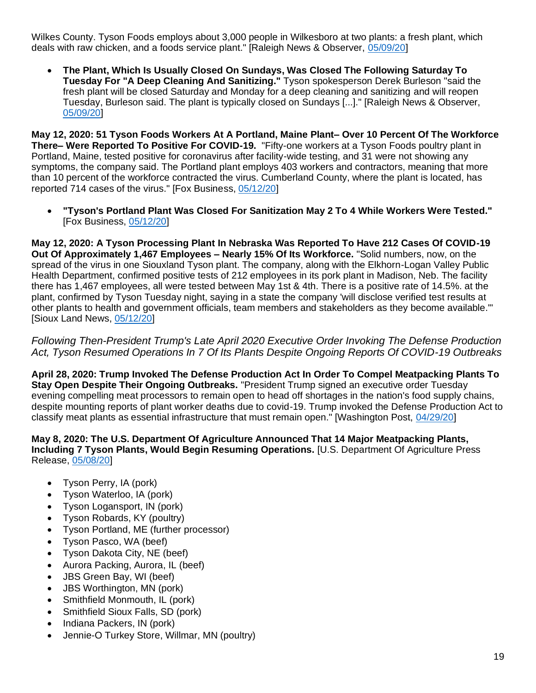Wilkes County. Tyson Foods employs about 3,000 people in Wilkesboro at two plants: a fresh plant, which deals with raw chicken, and a foods service plant." [Raleigh News & Observer, [05/09/20\]](https://www.newsobserver.com/news/coronavirus/article242625836.html)

• **The Plant, Which Is Usually Closed On Sundays, Was Closed The Following Saturday To Tuesday For "A Deep Cleaning And Sanitizing."** Tyson spokesperson Derek Burleson "said the fresh plant will be closed Saturday and Monday for a deep cleaning and sanitizing and will reopen Tuesday, Burleson said. The plant is typically closed on Sundays [...]." [Raleigh News & Observer, [05/09/20\]](https://www.newsobserver.com/news/coronavirus/article242625836.html)

**May 12, 2020: 51 Tyson Foods Workers At A Portland, Maine Plant– Over 10 Percent Of The Workforce There– Were Reported To Positive For COVID-19.** "Fifty-one workers at a Tyson Foods poultry plant in Portland, Maine, tested positive for coronavirus after facility-wide testing, and 31 were not showing any symptoms, the company said. The Portland plant employs 403 workers and contractors, meaning that more than 10 percent of the workforce contracted the virus. Cumberland County, where the plant is located, has reported 714 cases of the virus." [Fox Business, [05/12/20\]](https://www.foxbusiness.com/markets/coronavirus-tyson-foods-employees-industry)

• **"Tyson's Portland Plant Was Closed For Sanitization May 2 To 4 While Workers Were Tested."** [Fox Business, [05/12/20\]](https://www.foxbusiness.com/markets/coronavirus-tyson-foods-employees-industry)

**May 12, 2020: A Tyson Processing Plant In Nebraska Was Reported To Have 212 Cases Of COVID-19 Out Of Approximately 1,467 Employees – Nearly 15% Of Its Workforce.** "Solid numbers, now, on the spread of the virus in one Siouxland Tyson plant. The company, along with the Elkhorn-Logan Valley Public Health Department, confirmed positive tests of 212 employees in its pork plant in Madison, Neb. The facility there has 1,467 employees, all were tested between May 1st & 4th. There is a positive rate of 14.5%. at the plant, confirmed by Tyson Tuesday night, saying in a state the company 'will disclose verified test results at other plants to health and government officials, team members and stakeholders as they become available.'" [Sioux Land News, [05/12/20\]](https://siouxlandnews.com/news/coronavirus/212-team-members-test-positive-at-tyson-foods-in-madison)

*Following Then-President Trump's Late April 2020 Executive Order Invoking The Defense Production Act, Tyson Resumed Operations In 7 Of Its Plants Despite Ongoing Reports Of COVID-19 Outbreaks* 

**April 28, 2020: Trump Invoked The Defense Production Act In Order To Compel Meatpacking Plants To Stay Open Despite Their Ongoing Outbreaks.** "President Trump signed an executive order Tuesday evening compelling meat processors to remain open to head off shortages in the nation's food supply chains, despite mounting reports of plant worker deaths due to covid-19. Trump invoked the Defense Production Act to classify meat plants as essential infrastructure that must remain open." [Washington Post, [04/29/20\]](https://www.washingtonpost.com/business/2020/04/28/trump-meat-plants-dpa/)

#### **May 8, 2020: The U.S. Department Of Agriculture Announced That 14 Major Meatpacking Plants, Including 7 Tyson Plants, Would Begin Resuming Operations.** [U.S. Department Of Agriculture Press Release, [05/08/20\]](https://www.usda.gov/media/press-releases/2020/05/08/americas-meatpacking-facilities-practicing-safe-reopening-ensure)

- Tyson Perry, IA (pork)
- Tyson Waterloo, IA (pork)
- Tyson Logansport, IN (pork)
- Tyson Robards, KY (poultry)
- Tyson Portland, ME (further processor)
- Tyson Pasco, WA (beef)
- Tyson Dakota City, NE (beef)
- Aurora Packing, Aurora, IL (beef)
- JBS Green Bay, WI (beef)
- JBS Worthington, MN (pork)
- Smithfield Monmouth, IL (pork)
- Smithfield Sioux Falls, SD (pork)
- Indiana Packers, IN (pork)
- Jennie-O Turkey Store, Willmar, MN (poultry)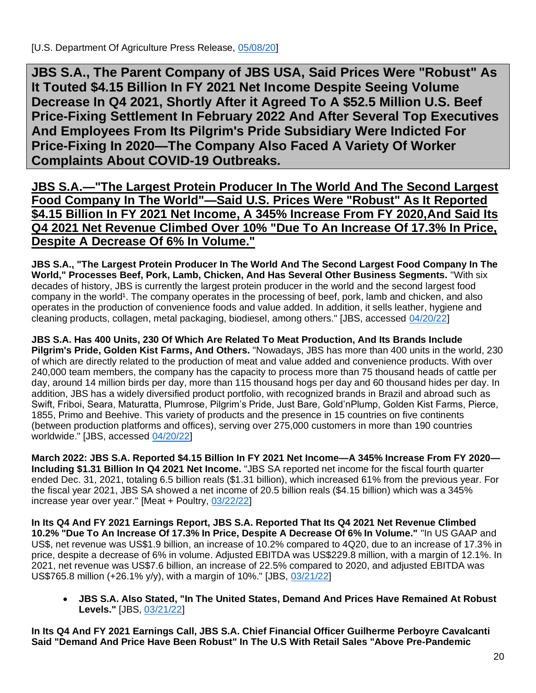<span id="page-19-0"></span>**JBS S.A., The Parent Company of JBS USA, Said Prices Were "Robust" As It Touted \$4.15 Billion In FY 2021 Net Income Despite Seeing Volume Decrease In Q4 2021, Shortly After it Agreed To A \$52.5 Million U.S. Beef Price-Fixing Settlement In February 2022 And After Several Top Executives And Employees From Its Pilgrim's Pride Subsidiary Were Indicted For Price-Fixing In 2020—The Company Also Faced A Variety Of Worker Complaints About COVID-19 Outbreaks.**

**JBS S.A.—"The Largest Protein Producer In The World And The Second Largest Food Company In The World"—Said U.S. Prices Were "Robust" As It Reported \$4.15 Billion In FY 2021 Net Income, A 345% Increase From FY 2020,And Said Its Q4 2021 Net Revenue Climbed Over 10% "Due To An Increase Of 17.3% In Price, Despite A Decrease Of 6% In Volume."**

**JBS S.A., "The Largest Protein Producer In The World And The Second Largest Food Company In The World," Processes Beef, Pork, Lamb, Chicken, And Has Several Other Business Segments.** "With six decades of history, JBS is currently the largest protein producer in the world and the second largest food company in the world<sup>1</sup>. The company operates in the processing of beef, pork, lamb and chicken, and also operates in the production of convenience foods and value added. In addition, it sells leather, hygiene and cleaning products, collagen, metal packaging, biodiesel, among others." [JBS, accessed [04/20/22\]](https://ri.jbs.com.br/en/jbs/corporate-profile/)

**JBS S.A. Has 400 Units, 230 Of Which Are Related To Meat Production, And Its Brands Include Pilgrim's Pride, Golden Kist Farms, And Others.** "Nowadays, JBS has more than 400 units in the world, 230 of which are directly related to the production of meat and value added and convenience products. With over 240,000 team members, the company has the capacity to process more than 75 thousand heads of cattle per day, around 14 million birds per day, more than 115 thousand hogs per day and 60 thousand hides per day. In addition, JBS has a widely diversified product portfolio, with recognized brands in Brazil and abroad such as Swift, Friboi, Seara, Maturatta, Plumrose, Pilgrim's Pride, Just Bare, Gold'nPlump, Golden Kist Farms, Pierce, 1855, Primo and Beehive. This variety of products and the presence in 15 countries on five continents (between production platforms and offices), serving over 275,000 customers in more than 190 countries worldwide." [JBS, accessed [04/20/22\]](https://ri.jbs.com.br/en/jbs/corporate-profile/)

**March 2022: JBS S.A. Reported \$4.15 Billion In FY 2021 Net Income—A 345% Increase From FY 2020— Including \$1.31 Billion In Q4 2021 Net Income.** "JBS SA reported net income for the fiscal fourth quarter ended Dec. 31, 2021, totaling 6.5 billion reals (\$1.31 billion), which increased 61% from the previous year. For the fiscal year 2021, JBS SA showed a net income of 20.5 billion reals (\$4.15 billion) which was a 345% increase year over year." [Meat + Poultry, [03/22/22\]](https://www.meatpoultry.com/articles/26368-jbs-shows-profits-during-2021-q4)

**In Its Q4 And FY 2021 Earnings Report, JBS S.A. Reported That Its Q4 2021 Net Revenue Climbed 10.2% "Due To An Increase Of 17.3% In Price, Despite A Decrease Of 6% In Volume."** "In US GAAP and US\$, net revenue was US\$1.9 billion, an increase of 10.2% compared to 4Q20, due to an increase of 17.3% in price, despite a decrease of 6% in volume. Adjusted EBITDA was US\$229.8 million, with a margin of 12.1%. In 2021, net revenue was US\$7.6 billion, an increase of 22.5% compared to 2020, and adjusted EBITDA was US\$765.8 million (+26.1% y/y), with a margin of 10%." [JBS, [03/21/22\]](https://api.mziq.com/mzfilemanager/v2/d/043a77e1-0127-4502-bc5b-21427b991b22/4f1cea70-d5e9-eca1-679b-37825880fb73?origin=1)

• **JBS S.A. Also Stated, "In The United States, Demand And Prices Have Remained At Robust Levels."** [JBS, [03/21/22\]](https://api.mziq.com/mzfilemanager/v2/d/043a77e1-0127-4502-bc5b-21427b991b22/4f1cea70-d5e9-eca1-679b-37825880fb73?origin=1)

**In Its Q4 And FY 2021 Earnings Call, JBS S.A. Chief Financial Officer Guilherme Perboyre Cavalcanti Said "Demand And Price Have Been Robust" In The U.S With Retail Sales "Above Pre-Pandemic**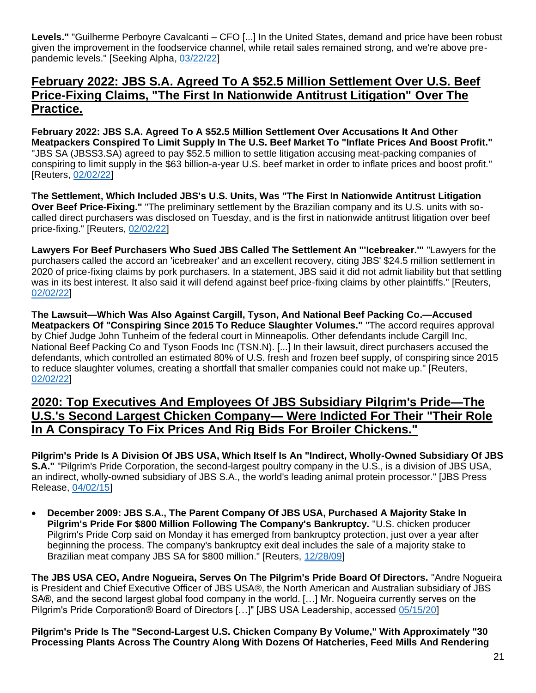**Levels."** "Guilherme Perboyre Cavalcanti – CFO [...] In the United States, demand and price have been robust given the improvement in the foodservice channel, while retail sales remained strong, and we're above prepandemic levels." [Seeking Alpha, [03/22/22\]](https://seekingalpha.com/article/4497147-jbs-s-jbsay-ceo-gilberto-tomazoni-on-q4-2021-results-earnings-call-transcript)

#### **February 2022: JBS S.A. Agreed To A \$52.5 Million Settlement Over U.S. Beef Price-Fixing Claims, "The First In Nationwide Antitrust Litigation" Over The Practice.**

**February 2022: JBS S.A. Agreed To A \$52.5 Million Settlement Over Accusations It And Other Meatpackers Conspired To Limit Supply In The U.S. Beef Market To "Inflate Prices And Boost Profit."**  "JBS SA (JBSS3.SA) agreed to pay \$52.5 million to settle litigation accusing meat-packing companies of conspiring to limit supply in the \$63 billion-a-year U.S. beef market in order to inflate prices and boost profit." [Reuters, [02/02/22\]](https://www.reuters.com/legal/litigation/jbs-reaches-icebreaker-settlement-beef-price-fixing-claims-2022-02-02/)

**The Settlement, Which Included JBS's U.S. Units, Was "The First In Nationwide Antitrust Litigation Over Beef Price-Fixing."** "The preliminary settlement by the Brazilian company and its U.S. units with socalled direct purchasers was disclosed on Tuesday, and is the first in nationwide antitrust litigation over beef price-fixing." [Reuters, [02/02/22\]](https://www.reuters.com/legal/litigation/jbs-reaches-icebreaker-settlement-beef-price-fixing-claims-2022-02-02/)

**Lawyers For Beef Purchasers Who Sued JBS Called The Settlement An "'Icebreaker.'"** "Lawyers for the purchasers called the accord an 'icebreaker' and an excellent recovery, citing JBS' \$24.5 million settlement in 2020 of price-fixing claims by pork purchasers. In a statement, JBS said it did not admit liability but that settling was in its best interest. It also said it will defend against beef price-fixing claims by other plaintiffs." [Reuters, [02/02/22\]](https://www.reuters.com/legal/litigation/jbs-reaches-icebreaker-settlement-beef-price-fixing-claims-2022-02-02/)

**The Lawsuit—Which Was Also Against Cargill, Tyson, And National Beef Packing Co.—Accused Meatpackers Of "Conspiring Since 2015 To Reduce Slaughter Volumes."** "The accord requires approval by Chief Judge John Tunheim of the federal court in Minneapolis. Other defendants include Cargill Inc, National Beef Packing Co and Tyson Foods Inc (TSN.N). [...] In their lawsuit, direct purchasers accused the defendants, which controlled an estimated 80% of U.S. fresh and frozen beef supply, of conspiring since 2015 to reduce slaughter volumes, creating a shortfall that smaller companies could not make up." [Reuters, [02/02/22\]](https://www.reuters.com/legal/litigation/jbs-reaches-icebreaker-settlement-beef-price-fixing-claims-2022-02-02/)

#### **2020: Top Executives And Employees Of JBS Subsidiary Pilgrim's Pride—The U.S.'s Second Largest Chicken Company— Were Indicted For Their "Their Role In A Conspiracy To Fix Prices And Rig Bids For Broiler Chickens."**

**Pilgrim's Pride Is A Division Of JBS USA, Which Itself Is An "Indirect, Wholly-Owned Subsidiary Of JBS S.A."** "Pilgrim's Pride Corporation, the second-largest poultry company in the U.S., is a division of JBS USA, an indirect, wholly-owned subsidiary of JBS S.A., the world's leading animal protein processor." [JBS Press Release, [04/02/15\]](https://ir.pilgrims.com/static-files/2a9e3661-8300-4d06-b6d3-36dae1b8a4a6)

• **December 2009: JBS S.A., The Parent Company Of JBS USA, Purchased A Majority Stake In Pilgrim's Pride For \$800 Million Following The Company's Bankruptcy.** "U.S. chicken producer Pilgrim's Pride Corp said on Monday it has emerged from bankruptcy protection, just over a year after beginning the process. The company's bankruptcy exit deal includes the sale of a majority stake to Brazilian meat company JBS SA for \$800 million." [Reuters, [12/28/09\]](https://www.reuters.com/article/us-pilgrimspride/pilgrims-pride-exits-bankruptcy-under-jbs-deal-idUSTRE5BR2O820091228)

**The JBS USA CEO, Andre Nogueira, Serves On The Pilgrim's Pride Board Of Directors.** "Andre Nogueira is President and Chief Executive Officer of JBS USA®, the North American and Australian subsidiary of JBS SA®, and the second largest global food company in the world. […] Mr. Nogueira currently serves on the Pilgrim's Pride Corporation® Board of Directors [...]" [JBS USA Leadership, accessed [05/15/20\]](https://jbssa.com/about/leadership/)

**Pilgrim's Pride Is The "Second-Largest U.S. Chicken Company By Volume," With Approximately "30 Processing Plants Across The Country Along With Dozens Of Hatcheries, Feed Mills And Rendering**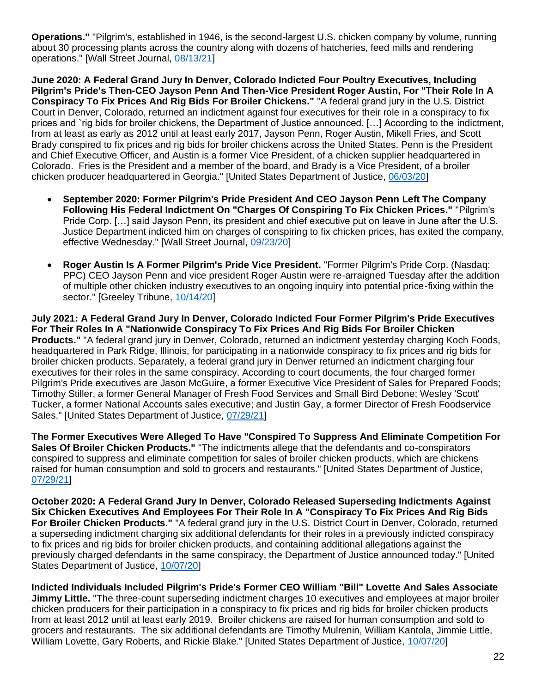**Operations."** "Pilgrim's, established in 1946, is the second-largest U.S. chicken company by volume, running about 30 processing plants across the country along with dozens of hatcheries, feed mills and rendering operations." [Wall Street Journal, [08/13/21\]](https://www.wsj.com/articles/brazils-jbs-proposes-to-buy-rest-of-pilgrims-pride-11628866397)

**June 2020: A Federal Grand Jury In Denver, Colorado Indicted Four Poultry Executives, Including Pilgrim's Pride's Then-CEO Jayson Penn And Then-Vice President Roger Austin, For "Their Role In A Conspiracy To Fix Prices And Rig Bids For Broiler Chickens."** "A federal grand jury in the U.S. District Court in Denver, Colorado, returned an indictment against four executives for their role in a conspiracy to fix prices and `rig bids for broiler chickens, the Department of Justice announced. […] According to the indictment, from at least as early as 2012 until at least early 2017, Jayson Penn, Roger Austin, Mikell Fries, and Scott Brady conspired to fix prices and rig bids for broiler chickens across the United States. Penn is the President and Chief Executive Officer, and Austin is a former Vice President, of a chicken supplier headquartered in Colorado. Fries is the President and a member of the board, and Brady is a Vice President, of a broiler chicken producer headquartered in Georgia." [United States Department of Justice, [06/03/20\]](https://www.justice.gov/opa/pr/senior-executives-major-chicken-producers-indicted-antitrust-charges)

- **September 2020: Former Pilgrim's Pride President And CEO Jayson Penn Left The Company Following His Federal Indictment On "Charges Of Conspiring To Fix Chicken Prices."** "Pilgrim's Pride Corp. […] said Jayson Penn, its president and chief executive put on leave in June after the U.S. Justice Department indicted him on charges of conspiring to fix chicken prices, has exited the company, effective Wednesday." [Wall Street Journal, [09/23/20\]](https://www.wsj.com/articles/pilgrims-pride-ceo-jayson-penn-leaves-company-11600872189)
- **Roger Austin Is A Former Pilgrim's Pride Vice President.** "Former Pilgrim's Pride Corp. (Nasdaq: PPC) CEO Jayson Penn and vice president Roger Austin were re-arraigned Tuesday after the addition of multiple other chicken industry executives to an ongoing inquiry into potential price-fixing within the sector." [Greeley Tribune, [10/14/20\]](https://www.greeleytribune.com/2020/10/14/former-pilgrims-pride-execs-arraigned-on-price-fixing-charges/)

**July 2021: A Federal Grand Jury In Denver, Colorado Indicted Four Former Pilgrim's Pride Executives For Their Roles In A "Nationwide Conspiracy To Fix Prices And Rig Bids For Broiler Chicken Products."** "A federal grand jury in Denver, Colorado, returned an indictment yesterday charging Koch Foods, headquartered in Park Ridge, Illinois, for participating in a nationwide conspiracy to fix prices and rig bids for broiler chicken products. Separately, a federal grand jury in Denver returned an indictment charging four executives for their roles in the same conspiracy. According to court documents, the four charged former Pilgrim's Pride executives are Jason McGuire, a former Executive Vice President of Sales for Prepared Foods; Timothy Stiller, a former General Manager of Fresh Food Services and Small Bird Debone; Wesley 'Scott' Tucker, a former National Accounts sales executive; and Justin Gay, a former Director of Fresh Foodservice Sales." [United States Department of Justice, [07/29/21\]](https://www.justice.gov/opa/pr/four-executives-and-company-charged-price-fixing-ongoing-investigation-broiler-chicken)

**The Former Executives Were Alleged To Have "Conspired To Suppress And Eliminate Competition For Sales Of Broiler Chicken Products."** "The indictments allege that the defendants and co-conspirators conspired to suppress and eliminate competition for sales of broiler chicken products, which are chickens raised for human consumption and sold to grocers and restaurants." [United States Department of Justice, [07/29/21\]](https://www.justice.gov/opa/pr/four-executives-and-company-charged-price-fixing-ongoing-investigation-broiler-chicken)

**October 2020: A Federal Grand Jury In Denver, Colorado Released Superseding Indictments Against Six Chicken Executives And Employees For Their Role In A "Conspiracy To Fix Prices And Rig Bids For Broiler Chicken Products."** "A federal grand jury in the U.S. District Court in Denver, Colorado, returned a superseding indictment charging six additional defendants for their roles in a previously indicted conspiracy to fix prices and rig bids for broiler chicken products, and containing additional allegations against the previously charged defendants in the same conspiracy, the Department of Justice announced today." [United States Department of Justice, [10/07/20\]](https://www.justice.gov/opa/pr/six-additional-individuals-indicted-antitrust-charges-ongoing-broiler-chicken-investigation)

**Indicted Individuals Included Pilgrim's Pride's Former CEO William "Bill" Lovette And Sales Associate Jimmy Little.** "The three-count superseding indictment charges 10 executives and employees at major broiler chicken producers for their participation in a conspiracy to fix prices and rig bids for broiler chicken products from at least 2012 until at least early 2019. Broiler chickens are raised for human consumption and sold to grocers and restaurants. The six additional defendants are Timothy Mulrenin, William Kantola, Jimmie Little, William Lovette, Gary Roberts, and Rickie Blake." [United States Department of Justice, [10/07/20\]](https://www.justice.gov/opa/pr/six-additional-individuals-indicted-antitrust-charges-ongoing-broiler-chicken-investigation)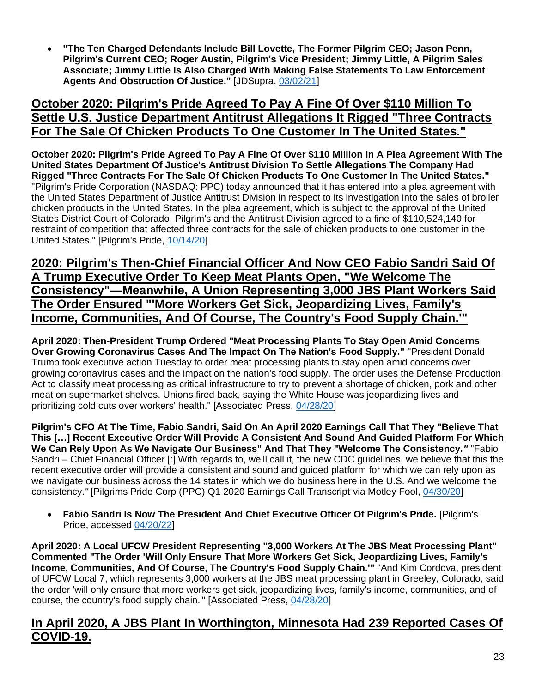• **"The Ten Charged Defendants Include Bill Lovette, The Former Pilgrim CEO; Jason Penn, Pilgrim's Current CEO; Roger Austin, Pilgrim's Vice President; Jimmy Little, A Pilgrim Sales Associate; Jimmy Little Is Also Charged With Making False Statements To Law Enforcement Agents And Obstruction Of Justice."** [JDSupra, [03/02/21\]](https://www.jdsupra.com/legalnews/pilgrim-s-pride-pleads-guilty-to-price-3950906/)

### **October 2020: Pilgrim's Pride Agreed To Pay A Fine Of Over \$110 Million To Settle U.S. Justice Department Antitrust Allegations It Rigged "Three Contracts For The Sale Of Chicken Products To One Customer In The United States."**

**October 2020: Pilgrim's Pride Agreed To Pay A Fine Of Over \$110 Million In A Plea Agreement With The United States Department Of Justice's Antitrust Division To Settle Allegations The Company Had Rigged "Three Contracts For The Sale Of Chicken Products To One Customer In The United States."**  "Pilgrim's Pride Corporation (NASDAQ: PPC) today announced that it has entered into a plea agreement with the United States Department of Justice Antitrust Division in respect to its investigation into the sales of broiler chicken products in the United States. In the plea agreement, which is subject to the approval of the United States District Court of Colorado, Pilgrim's and the Antitrust Division agreed to a fine of \$110,524,140 for restraint of competition that affected three contracts for the sale of chicken products to one customer in the United States." [Pilgrim's Pride, [10/14/20\]](https://ir.pilgrims.com/news-releases/news-release-details/pilgrims-announces-agreement-doj-antitrust-division)

# **2020: Pilgrim's Then-Chief Financial Officer And Now CEO Fabio Sandri Said Of A Trump Executive Order To Keep Meat Plants Open, "We Welcome The Consistency"—Meanwhile, A Union Representing 3,000 JBS Plant Workers Said The Order Ensured "'More Workers Get Sick, Jeopardizing Lives, Family's Income, Communities, And Of Course, The Country's Food Supply Chain.'"**

**April 2020: Then-President Trump Ordered "Meat Processing Plants To Stay Open Amid Concerns Over Growing Coronavirus Cases And The Impact On The Nation's Food Supply."** "President Donald Trump took executive action Tuesday to order meat processing plants to stay open amid concerns over growing coronavirus cases and the impact on the nation's food supply. The order uses the Defense Production Act to classify meat processing as critical infrastructure to try to prevent a shortage of chicken, pork and other meat on supermarket shelves. Unions fired back, saying the White House was jeopardizing lives and prioritizing cold cuts over workers' health." [Associated Press, [04/28/20\]](https://apnews.com/article/south-dakota-donald-trump-us-news-ap-top-news-virus-outbreak-67cb4bad7ffe500beabdf8e7e7efea5d)

**Pilgrim's CFO At The Time, Fabio Sandri, Said On An April 2020 Earnings Call That They "Believe That This […] Recent Executive Order Will Provide A Consistent And Sound And Guided Platform For Which We Can Rely Upon As We Navigate Our Business" And That They "Welcome The Consistency.***"* "Fabio Sandri *–* Chief Financial Officer [:] With regards to, we'll call it, the new CDC guidelines, we believe that this the recent executive order will provide a consistent and sound and guided platform for which we can rely upon as we navigate our business across the 14 states in which we do business here in the U.S. And we welcome the consistency.*"* [Pilgrims Pride Corp (PPC) Q1 2020 Earnings Call Transcript via Motley Fool, [04/30/20\]](https://www.fool.com/earnings/call-transcripts/2020/04/30/pilgrims-pride-corp-ppc-q1-2020-earnings-call-tran.aspx)

• **Fabio Sandri Is Now The President And Chief Executive Officer Of Pilgrim's Pride.** [Pilgrim's Pride, accessed [04/20/22\]](https://www.pilgrims.com/leadership/)

**April 2020: A Local UFCW President Representing "3,000 Workers At The JBS Meat Processing Plant" Commented "The Order 'Will Only Ensure That More Workers Get Sick, Jeopardizing Lives, Family's Income, Communities, And Of Course, The Country's Food Supply Chain.'"** "And Kim Cordova, president of UFCW Local 7, which represents 3,000 workers at the JBS meat processing plant in Greeley, Colorado, said the order 'will only ensure that more workers get sick, jeopardizing lives, family's income, communities, and of course, the country's food supply chain.'" [Associated Press, [04/28/20\]](https://apnews.com/article/south-dakota-donald-trump-us-news-ap-top-news-virus-outbreak-67cb4bad7ffe500beabdf8e7e7efea5d)

# **In April 2020, A JBS Plant In Worthington, Minnesota Had 239 Reported Cases Of COVID-19.**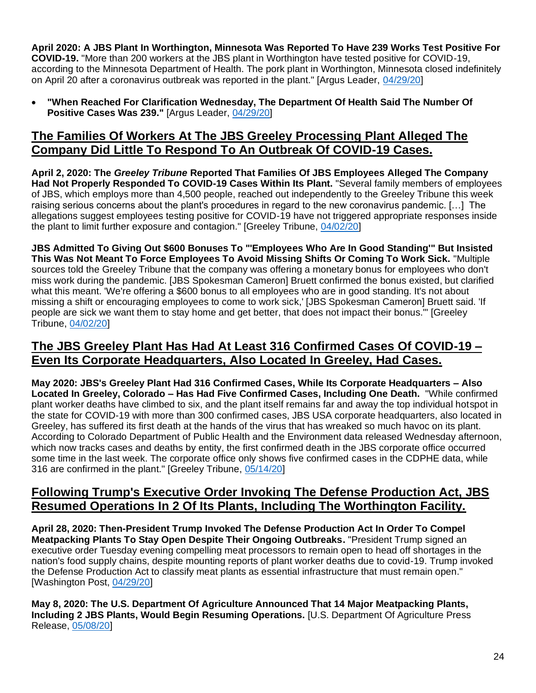**April 2020: A JBS Plant In Worthington, Minnesota Was Reported To Have 239 Works Test Positive For COVID-19.** "More than 200 workers at the JBS plant in Worthington have tested positive for COVID-19, according to the Minnesota Department of Health. The pork plant in Worthington, Minnesota closed indefinitely on April 20 after a coronavirus outbreak was reported in the plant." [Argus Leader, [04/29/20\]](https://www.argusleader.com/story/news/2020/04/29/workers-test-positive-covid-19-worthington-minnesota-jbs-meatpacking-plant/3050159001/)

• **"When Reached For Clarification Wednesday, The Department Of Health Said The Number Of Positive Cases Was 239."** [Argus Leader, [04/29/20\]](https://www.argusleader.com/story/news/2020/04/29/workers-test-positive-covid-19-worthington-minnesota-jbs-meatpacking-plant/3050159001/)

# **The Families Of Workers At The JBS Greeley Processing Plant Alleged The Company Did Little To Respond To An Outbreak Of COVID-19 Cases.**

**April 2, 2020: The** *Greeley Tribune* **Reported That Families Of JBS Employees Alleged The Company Had Not Properly Responded To COVID-19 Cases Within Its Plant.** "Several family members of employees of JBS, which employs more than 4,500 people, reached out independently to the Greeley Tribune this week raising serious concerns about the plant's procedures in regard to the new coronavirus pandemic. […] The allegations suggest employees testing positive for COVID-19 have not triggered appropriate responses inside the plant to limit further exposure and contagion." [Greeley Tribune, [04/02/20\]](https://www.greeleytribune.com/news/local/jbs-employees-families-allege-lax-reaction-to-covid-19-at-greeley-plant-company-disputes-claims/)

**JBS Admitted To Giving Out \$600 Bonuses To "'Employees Who Are In Good Standing'" But Insisted This Was Not Meant To Force Employees To Avoid Missing Shifts Or Coming To Work Sick.** "Multiple sources told the Greeley Tribune that the company was offering a monetary bonus for employees who don't miss work during the pandemic. [JBS Spokesman Cameron] Bruett confirmed the bonus existed, but clarified what this meant. 'We're offering a \$600 bonus to all employees who are in good standing. It's not about missing a shift or encouraging employees to come to work sick,' [JBS Spokesman Cameron] Bruett said. 'If people are sick we want them to stay home and get better, that does not impact their bonus.'" [Greeley Tribune, [04/02/20\]](https://www.greeleytribune.com/news/local/jbs-employees-families-allege-lax-reaction-to-covid-19-at-greeley-plant-company-disputes-claims/)

# **The JBS Greeley Plant Has Had At Least 316 Confirmed Cases Of COVID-19 – Even Its Corporate Headquarters, Also Located In Greeley, Had Cases.**

**May 2020: JBS's Greeley Plant Had 316 Confirmed Cases, While Its Corporate Headquarters – Also Located In Greeley, Colorado – Has Had Five Confirmed Cases, Including One Death.** "While confirmed plant worker deaths have climbed to six, and the plant itself remains far and away the top individual hotspot in the state for COVID-19 with more than 300 confirmed cases, JBS USA corporate headquarters, also located in Greeley, has suffered its first death at the hands of the virus that has wreaked so much havoc on its plant. According to Colorado Department of Public Health and the Environment data released Wednesday afternoon, which now tracks cases and deaths by entity, the first confirmed death in the JBS corporate office occurred some time in the last week. The corporate office only shows five confirmed cases in the CDPHE data, while 316 are confirmed in the plant." [Greeley Tribune, [05/14/20\]](https://www.greeleytribune.com/2020/05/14/jbs-suffers-first-covid-19-death-in-corporate-offices/)

## **Following Trump's Executive Order Invoking The Defense Production Act, JBS Resumed Operations In 2 Of Its Plants, Including The Worthington Facility.**

**April 28, 2020: Then-President Trump Invoked The Defense Production Act In Order To Compel Meatpacking Plants To Stay Open Despite Their Ongoing Outbreaks.** "President Trump signed an executive order Tuesday evening compelling meat processors to remain open to head off shortages in the nation's food supply chains, despite mounting reports of plant worker deaths due to covid-19. Trump invoked the Defense Production Act to classify meat plants as essential infrastructure that must remain open." [Washington Post, [04/29/20\]](https://www.washingtonpost.com/business/2020/04/28/trump-meat-plants-dpa/)

**May 8, 2020: The U.S. Department Of Agriculture Announced That 14 Major Meatpacking Plants, Including 2 JBS Plants, Would Begin Resuming Operations.** [U.S. Department Of Agriculture Press Release, [05/08/20\]](https://www.usda.gov/media/press-releases/2020/05/08/americas-meatpacking-facilities-practicing-safe-reopening-ensure)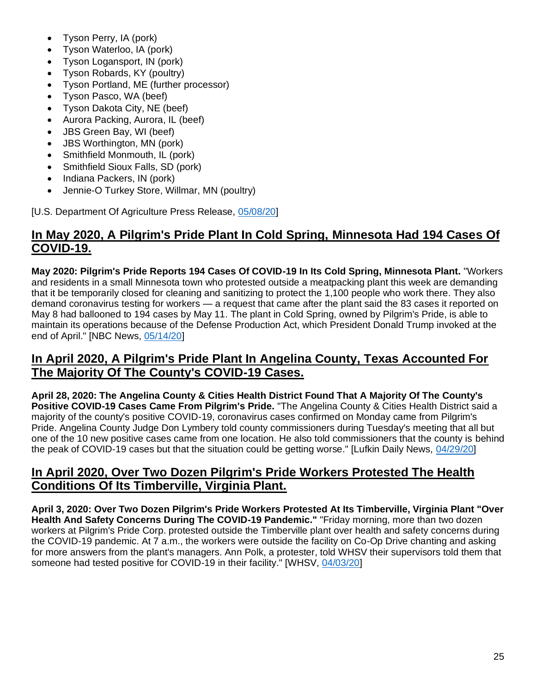- Tyson Perry, IA (pork)
- Tyson Waterloo, IA (pork)
- Tyson Logansport, IN (pork)
- Tyson Robards, KY (poultry)
- Tyson Portland, ME (further processor)
- Tyson Pasco, WA (beef)
- Tyson Dakota City, NE (beef)
- Aurora Packing, Aurora, IL (beef)
- JBS Green Bay, WI (beef)
- JBS Worthington, MN (pork)
- Smithfield Monmouth, IL (pork)
- Smithfield Sioux Falls, SD (pork)
- Indiana Packers, IN (pork)
- Jennie-O Turkey Store, Willmar, MN (poultry)

[U.S. Department Of Agriculture Press Release, [05/08/20\]](https://www.usda.gov/media/press-releases/2020/05/08/americas-meatpacking-facilities-practicing-safe-reopening-ensure)

# **In May 2020, A Pilgrim's Pride Plant In Cold Spring, Minnesota Had 194 Cases Of COVID-19.**

**May 2020: Pilgrim's Pride Reports 194 Cases Of COVID-19 In Its Cold Spring, Minnesota Plant.** "Workers and residents in a small Minnesota town who protested outside a meatpacking plant this week are demanding that it be temporarily closed for cleaning and sanitizing to protect the 1,100 people who work there. They also demand coronavirus testing for workers — a request that came after the plant said the 83 cases it reported on May 8 had ballooned to 194 cases by May 11. The plant in Cold Spring, owned by Pilgrim's Pride, is able to maintain its operations because of the Defense Production Act, which President Donald Trump invoked at the end of April." [NBC News, [05/14/20\]](https://www.nbcnews.com/news/us-news/coronavirus-hot-spot-minnesota-connected-surge-cases-meatpacking-plant-n1206176)

## **In April 2020, A Pilgrim's Pride Plant In Angelina County, Texas Accounted For The Majority Of The County's COVID-19 Cases.**

**April 28, 2020: The Angelina County & Cities Health District Found That A Majority Of The County's Positive COVID-19 Cases Came From Pilgrim's Pride.** "The Angelina County & Cities Health District said a majority of the county's positive COVID-19, coronavirus cases confirmed on Monday came from Pilgrim's Pride. Angelina County Judge Don Lymbery told county commissioners during Tuesday's meeting that all but one of the 10 new positive cases came from one location. He also told commissioners that the county is behind the peak of COVID-19 cases but that the situation could be getting worse." [Lufkin Daily News, [04/29/20\]](http://lufkindailynews.com/coronavirus/article_1fc839cc-8983-11ea-981e-9736a180dd10.html)

# **In April 2020, Over Two Dozen Pilgrim's Pride Workers Protested The Health Conditions Of Its Timberville, Virginia Plant.**

**April 3, 2020: Over Two Dozen Pilgrim's Pride Workers Protested At Its Timberville, Virginia Plant "Over Health And Safety Concerns During The COVID-19 Pandemic."** "Friday morning, more than two dozen workers at Pilgrim's Pride Corp. protested outside the Timberville plant over health and safety concerns during the COVID-19 pandemic. At 7 a.m., the workers were outside the facility on Co-Op Drive chanting and asking for more answers from the plant's managers. Ann Polk, a protester, told WHSV their supervisors told them that someone had tested positive for COVID-19 in their facility." [WHSV, [04/03/20\]](https://www.whsv.com/content/news/Pilgrims-workers-protest-outside-facility-for-health-and-safety-569351581.html)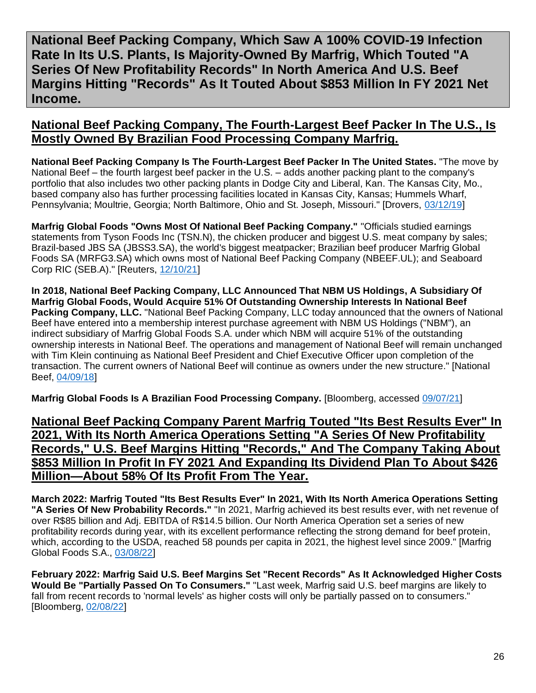<span id="page-25-0"></span>**National Beef Packing Company, Which Saw A 100% COVID-19 Infection Rate In Its U.S. Plants, Is Majority-Owned By Marfrig, Which Touted "A Series Of New Profitability Records" In North America And U.S. Beef Margins Hitting "Records" As It Touted About \$853 Million In FY 2021 Net Income.**

#### **National Beef Packing Company, The Fourth-Largest Beef Packer In The U.S., Is Mostly Owned By Brazilian Food Processing Company Marfrig.**

**National Beef Packing Company Is The Fourth-Largest Beef Packer In The United States.** "The move by National Beef – the fourth largest beef packer in the U.S. – adds another packing plant to the company's portfolio that also includes two other packing plants in Dodge City and Liberal, Kan. The Kansas City, Mo., based company also has further processing facilities located in Kansas City, Kansas; Hummels Wharf, Pennsylvania; Moultrie, Georgia; North Baltimore, Ohio and St. Joseph, Missouri." [Drovers, [03/12/19\]](https://dy604qses7th.cloudfront.net/markets/4th-largest-us-beef-packer-national-beef-acquires-iowa-premium)

**Marfrig Global Foods "Owns Most Of National Beef Packing Company."** "Officials studied earnings statements from Tyson Foods Inc (TSN.N), the chicken producer and biggest U.S. meat company by sales; Brazil-based JBS SA (JBSS3.SA), the world's biggest meatpacker; Brazilian beef producer Marfrig Global Foods SA (MRFG3.SA) which owns most of National Beef Packing Company (NBEEF.UL); and Seaboard Corp RIC (SEB.A)." [Reuters, [12/10/21\]](https://www.reuters.com/business/meat-packers-profit-margins-jumped-300-during-pandemic-white-house-economics-2021-12-10/)

**In 2018, National Beef Packing Company, LLC Announced That NBM US Holdings, A Subsidiary Of Marfrig Global Foods, Would Acquire 51% Of Outstanding Ownership Interests In National Beef Packing Company, LLC.** "National Beef Packing Company, LLC today announced that the owners of National Beef have entered into a membership interest purchase agreement with NBM US Holdings ("NBM"), an indirect subsidiary of Marfrig Global Foods S.A. under which NBM will acquire 51% of the outstanding ownership interests in National Beef. The operations and management of National Beef will remain unchanged with Tim Klein continuing as National Beef President and Chief Executive Officer upon completion of the transaction. The current owners of National Beef will continue as owners under the new structure." [National Beef, [04/09/18\]](https://www.nationalbeef.com/news/marfrig-purchases-national-beef-ownership-interest)

**Marfrig Global Foods Is A Brazilian Food Processing Company.** [Bloomberg, accessed [09/07/21\]](https://www.bloomberg.com/profile/company/MRFG3:BZ)

**National Beef Packing Company Parent Marfrig Touted "Its Best Results Ever" In 2021, With Its North America Operations Setting "A Series Of New Profitability Records," U.S. Beef Margins Hitting "Records," And The Company Taking About \$853 Million In Profit In FY 2021 And Expanding Its Dividend Plan To About \$426 Million—About 58% Of Its Profit From The Year.**

**March 2022: Marfrig Touted "Its Best Results Ever" In 2021, With Its North America Operations Setting "A Series Of New Probability Records."** "In 2021, Marfrig achieved its best results ever, with net revenue of over R\$85 billion and Adj. EBITDA of R\$14.5 billion. Our North America Operation set a series of new profitability records during year, with its excellent performance reflecting the strong demand for beef protein, which, according to the USDA, reached 58 pounds per capita in 2021, the highest level since 2009." [Marfrig Global Foods S.A., [03/08/22\]](https://api.mziq.com/mzfilemanager/v2/d/b8180300-b881-4e6c-b970-12ad72a86ec8/62b7ca02-b975-d879-97bd-4a51cf345f8e?origin=1)

**February 2022: Marfrig Said U.S. Beef Margins Set "Recent Records" As It Acknowledged Higher Costs Would Be "Partially Passed On To Consumers."** "Last week, Marfrig said U.S. beef margins are likely to fall from recent records to 'normal levels' as higher costs will only be partially passed on to consumers." [Bloomberg, [02/08/22\]](https://www.bloomberg.com/news/articles/2022-02-08/tyson-s-upbeat-sales-outlook-boosts-shares-of-brazil-meatpackers?sref=F7j0rXiB)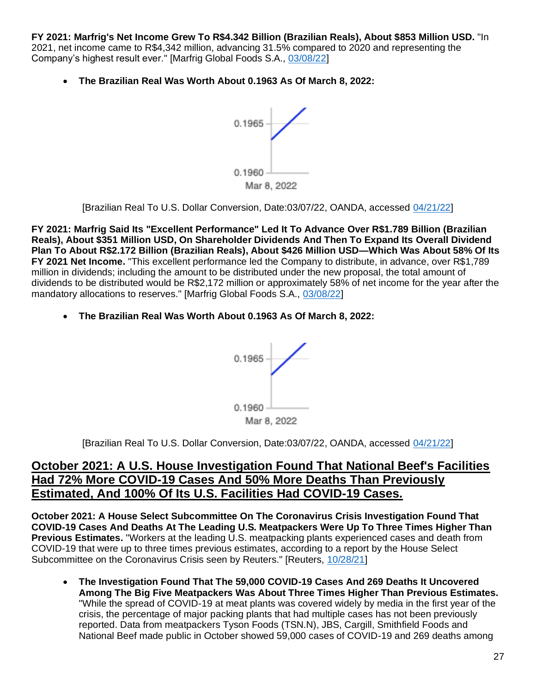**FY 2021: Marfrig's Net Income Grew To R\$4.342 Billion (Brazilian Reals), About \$853 Million USD.** "In 2021, net income came to R\$4,342 million, advancing 31.5% compared to 2020 and representing the Company's highest result ever." [Marfrig Global Foods S.A., [03/08/22\]](https://api.mziq.com/mzfilemanager/v2/d/b8180300-b881-4e6c-b970-12ad72a86ec8/62b7ca02-b975-d879-97bd-4a51cf345f8e?origin=1)

• **The Brazilian Real Was Worth About 0.1963 As Of March 8, 2022:**



[Brazilian Real To U.S. Dollar Conversion, Date:03/07/22, OANDA, accessed [04/21/22\]](https://www.oanda.com/fx-for-business/historical-rates)

**FY 2021: Marfrig Said Its "Excellent Performance" Led It To Advance Over R\$1.789 Billion (Brazilian Reals), About \$351 Million USD, On Shareholder Dividends And Then To Expand Its Overall Dividend Plan To About R\$2.172 Billion (Brazilian Reals), About \$426 Million USD—Which Was About 58% Of Its FY 2021 Net Income.** "This excellent performance led the Company to distribute, in advance, over R\$1,789 million in dividends; including the amount to be distributed under the new proposal, the total amount of dividends to be distributed would be R\$2,172 million or approximately 58% of net income for the year after the mandatory allocations to reserves." [Marfrig Global Foods S.A., [03/08/22\]](https://api.mziq.com/mzfilemanager/v2/d/b8180300-b881-4e6c-b970-12ad72a86ec8/62b7ca02-b975-d879-97bd-4a51cf345f8e?origin=1)

• **The Brazilian Real Was Worth About 0.1963 As Of March 8, 2022:**



[Brazilian Real To U.S. Dollar Conversion, Date:03/07/22, OANDA, accessed [04/21/22\]](https://www.oanda.com/fx-for-business/historical-rates)

#### **October 2021: A U.S. House Investigation Found That National Beef's Facilities Had 72% More COVID-19 Cases And 50% More Deaths Than Previously Estimated, And 100% Of Its U.S. Facilities Had COVID-19 Cases.**

**October 2021: A House Select Subcommittee On The Coronavirus Crisis Investigation Found That COVID-19 Cases And Deaths At The Leading U.S. Meatpackers Were Up To Three Times Higher Than Previous Estimates.** "Workers at the leading U.S. meatpacking plants experienced cases and death from COVID-19 that were up to three times previous estimates, according to a report by the House Select Subcommittee on the Coronavirus Crisis seen by Reuters." [Reuters, [10/28/21\]](https://www.reuters.com/world/us/coronavirus-infections-us-meat-plants-far-higher-than-previous-estimates-house-2021-10-27/)

• **The Investigation Found That The 59,000 COVID-19 Cases And 269 Deaths It Uncovered Among The Big Five Meatpackers Was About Three Times Higher Than Previous Estimates.** "While the spread of COVID-19 at meat plants was covered widely by media in the first year of the crisis, the percentage of major packing plants that had multiple cases has not been previously reported. Data from meatpackers Tyson Foods (TSN.N), JBS, Cargill, Smithfield Foods and National Beef made public in October showed 59,000 cases of COVID-19 and 269 deaths among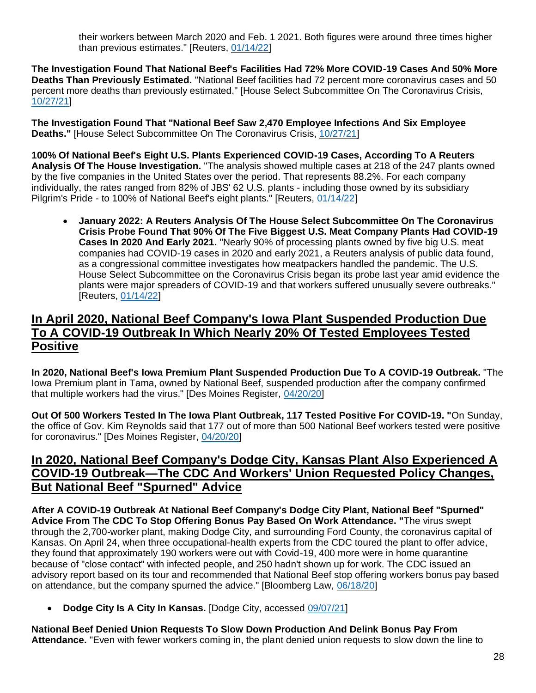their workers between March 2020 and Feb. 1 2021. Both figures were around three times higher than previous estimates." [Reuters, [01/14/22\]](https://www.reuters.com/business/nearly-90-big-us-meat-plants-had-covid-19-cases-pandemics-first-year-data-2022-01-14/)

**The Investigation Found That National Beef's Facilities Had 72% More COVID-19 Cases And 50% More Deaths Than Previously Estimated.** "National Beef facilities had 72 percent more coronavirus cases and 50 percent more deaths than previously estimated." [House Select Subcommittee On The Coronavirus Crisis, [10/27/21\]](https://coronavirus.house.gov/sites/democrats.coronavirus.house.gov/files/2021.10.27%20Meatpacking%20Report.Final_.pdf)

**The Investigation Found That "National Beef Saw 2,470 Employee Infections And Six Employee Deaths."** [House Select Subcommittee On The Coronavirus Crisis, [10/27/21\]](https://coronavirus.house.gov/sites/democrats.coronavirus.house.gov/files/2021.10.27%20Meatpacking%20Report.Final_.pdf)

**100% Of National Beef's Eight U.S. Plants Experienced COVID-19 Cases, According To A Reuters Analysis Of The House Investigation.** "The analysis showed multiple cases at 218 of the 247 plants owned by the five companies in the United States over the period. That represents 88.2%. For each company individually, the rates ranged from 82% of JBS' 62 U.S. plants - including those owned by its subsidiary Pilgrim's Pride - to 100% of National Beef's eight plants." [Reuters, [01/14/22\]](https://www.reuters.com/business/nearly-90-big-us-meat-plants-had-covid-19-cases-pandemics-first-year-data-2022-01-14/)

• **January 2022: A Reuters Analysis Of The House Select Subcommittee On The Coronavirus Crisis Probe Found That 90% Of The Five Biggest U.S. Meat Company Plants Had COVID-19 Cases In 2020 And Early 2021.** "Nearly 90% of processing plants owned by five big U.S. meat companies had COVID-19 cases in 2020 and early 2021, a Reuters analysis of public data found, as a congressional committee investigates how meatpackers handled the pandemic. The U.S. House Select Subcommittee on the Coronavirus Crisis began its probe last year amid evidence the plants were major spreaders of COVID-19 and that workers suffered unusually severe outbreaks." [Reuters, [01/14/22\]](https://www.reuters.com/business/nearly-90-big-us-meat-plants-had-covid-19-cases-pandemics-first-year-data-2022-01-14/)

# **In April 2020, National Beef Company's Iowa Plant Suspended Production Due To A COVID-19 Outbreak In Which Nearly 20% Of Tested Employees Tested Positive**

**In 2020, National Beef's Iowa Premium Plant Suspended Production Due To A COVID-19 Outbreak.** "The Iowa Premium plant in Tama, owned by National Beef, suspended production after the company confirmed that multiple workers had the virus." [Des Moines Register, [04/20/20\]](https://www.desmoinesregister.com/story/news/2020/04/20/coronavirus-iowa-meatpacking-plant-reopens-177-workers-test-positive-covid-19-national-beef-tama/5165348002/)

**Out Of 500 Workers Tested In The Iowa Plant Outbreak, 117 Tested Positive For COVID-19. "**On Sunday, the office of Gov. Kim Reynolds said that 177 out of more than 500 National Beef workers tested were positive for coronavirus." [Des Moines Register, [04/20/20\]](https://www.desmoinesregister.com/story/news/2020/04/20/coronavirus-iowa-meatpacking-plant-reopens-177-workers-test-positive-covid-19-national-beef-tama/5165348002/)

# **In 2020, National Beef Company's Dodge City, Kansas Plant Also Experienced A COVID-19 Outbreak—The CDC And Workers' Union Requested Policy Changes, But National Beef "Spurned" Advice**

**After A COVID-19 Outbreak At National Beef Company's Dodge City Plant, National Beef "Spurned" Advice From The CDC To Stop Offering Bonus Pay Based On Work Attendance. "**The virus swept through the 2,700-worker plant, making Dodge City, and surrounding Ford County, the coronavirus capital of Kansas. On April 24, when three occupational-health experts from the CDC toured the plant to offer advice, they found that approximately 190 workers were out with Covid-19, 400 more were in home quarantine because of "close contact" with infected people, and 250 hadn't shown up for work. The CDC issued an advisory report based on its tour and recommended that National Beef stop offering workers bonus pay based on attendance, but the company spurned the advice." [Bloomberg Law, [06/18/20\]](https://news.bloomberglaw.com/daily-labor-report/u-s-meat-plants-are-deadly-as-ever-with-no-incentive-to-change)

• **Dodge City Is A City In Kansas.** [Dodge City, accessed [09/07/21\]](https://www.dodgecity.org/)

**National Beef Denied Union Requests To Slow Down Production And Delink Bonus Pay From Attendance.** "Even with fewer workers coming in, the plant denied union requests to slow down the line to